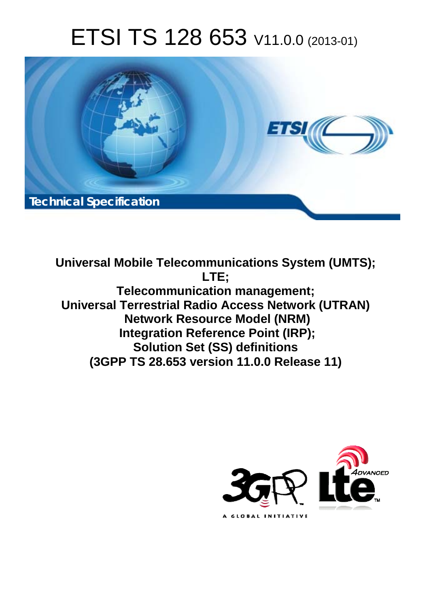# ETSI TS 128 653 V11.0.0 (2013-01)



**Universal Mobile Telecommunications System (UMTS); LTE; Telecommunication management; Universal Terrestrial Radio Access Network (UTRAN) Network Resource Model (NRM) Integration Reference Point (IRP); Solution Set (SS) definitions (3GPP TS 28.653 version 11.0.0 Release 11)** 

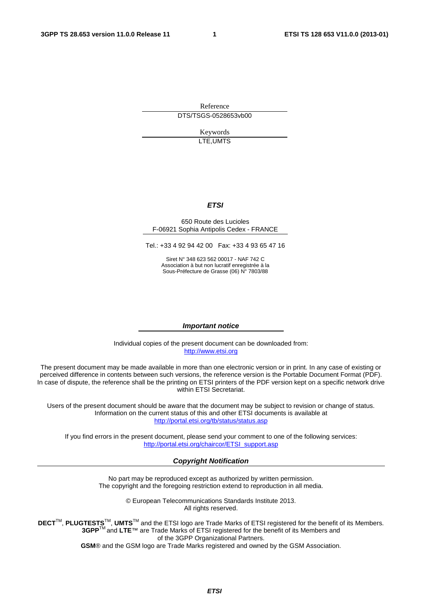Reference DTS/TSGS-0528653vb00

> Keywords LTE,UMTS

#### *ETSI*

#### 650 Route des Lucioles F-06921 Sophia Antipolis Cedex - FRANCE

Tel.: +33 4 92 94 42 00 Fax: +33 4 93 65 47 16

Siret N° 348 623 562 00017 - NAF 742 C Association à but non lucratif enregistrée à la Sous-Préfecture de Grasse (06) N° 7803/88

#### *Important notice*

Individual copies of the present document can be downloaded from: [http://www.etsi.org](http://www.etsi.org/)

The present document may be made available in more than one electronic version or in print. In any case of existing or perceived difference in contents between such versions, the reference version is the Portable Document Format (PDF). In case of dispute, the reference shall be the printing on ETSI printers of the PDF version kept on a specific network drive within ETSI Secretariat.

Users of the present document should be aware that the document may be subject to revision or change of status. Information on the current status of this and other ETSI documents is available at <http://portal.etsi.org/tb/status/status.asp>

If you find errors in the present document, please send your comment to one of the following services: [http://portal.etsi.org/chaircor/ETSI\\_support.asp](http://portal.etsi.org/chaircor/ETSI_support.asp)

#### *Copyright Notification*

No part may be reproduced except as authorized by written permission. The copyright and the foregoing restriction extend to reproduction in all media.

> © European Telecommunications Standards Institute 2013. All rights reserved.

DECT<sup>™</sup>, PLUGTESTS<sup>™</sup>, UMTS<sup>™</sup> and the ETSI logo are Trade Marks of ETSI registered for the benefit of its Members. **3GPP**TM and **LTE**™ are Trade Marks of ETSI registered for the benefit of its Members and of the 3GPP Organizational Partners.

**GSM**® and the GSM logo are Trade Marks registered and owned by the GSM Association.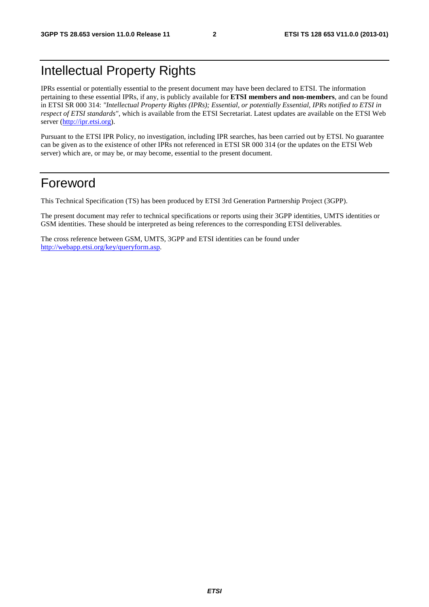# Intellectual Property Rights

IPRs essential or potentially essential to the present document may have been declared to ETSI. The information pertaining to these essential IPRs, if any, is publicly available for **ETSI members and non-members**, and can be found in ETSI SR 000 314: *"Intellectual Property Rights (IPRs); Essential, or potentially Essential, IPRs notified to ETSI in respect of ETSI standards"*, which is available from the ETSI Secretariat. Latest updates are available on the ETSI Web server ([http://ipr.etsi.org\)](http://webapp.etsi.org/IPR/home.asp).

Pursuant to the ETSI IPR Policy, no investigation, including IPR searches, has been carried out by ETSI. No guarantee can be given as to the existence of other IPRs not referenced in ETSI SR 000 314 (or the updates on the ETSI Web server) which are, or may be, or may become, essential to the present document.

# Foreword

This Technical Specification (TS) has been produced by ETSI 3rd Generation Partnership Project (3GPP).

The present document may refer to technical specifications or reports using their 3GPP identities, UMTS identities or GSM identities. These should be interpreted as being references to the corresponding ETSI deliverables.

The cross reference between GSM, UMTS, 3GPP and ETSI identities can be found under [http://webapp.etsi.org/key/queryform.asp.](http://webapp.etsi.org/key/queryform.asp)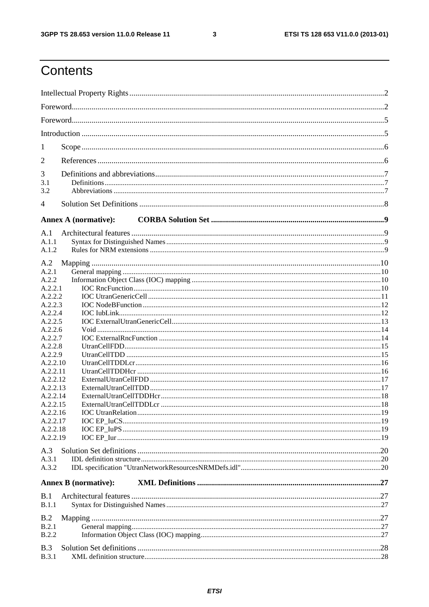$\mathbf{3}$ 

# Contents

| 1              |                                                                                                                                                                                                                                                      |  |  |
|----------------|------------------------------------------------------------------------------------------------------------------------------------------------------------------------------------------------------------------------------------------------------|--|--|
| 2              |                                                                                                                                                                                                                                                      |  |  |
|                |                                                                                                                                                                                                                                                      |  |  |
| 3<br>3.1       |                                                                                                                                                                                                                                                      |  |  |
| 3.2            |                                                                                                                                                                                                                                                      |  |  |
| $\overline{4}$ |                                                                                                                                                                                                                                                      |  |  |
|                |                                                                                                                                                                                                                                                      |  |  |
| A.1            |                                                                                                                                                                                                                                                      |  |  |
| A.1.1          |                                                                                                                                                                                                                                                      |  |  |
| A.1.2          |                                                                                                                                                                                                                                                      |  |  |
| A.2            |                                                                                                                                                                                                                                                      |  |  |
| A.2.1          |                                                                                                                                                                                                                                                      |  |  |
| A.2.2          |                                                                                                                                                                                                                                                      |  |  |
| A.2.2.1        |                                                                                                                                                                                                                                                      |  |  |
|                |                                                                                                                                                                                                                                                      |  |  |
|                |                                                                                                                                                                                                                                                      |  |  |
|                |                                                                                                                                                                                                                                                      |  |  |
|                |                                                                                                                                                                                                                                                      |  |  |
|                |                                                                                                                                                                                                                                                      |  |  |
| A.2.2.8        |                                                                                                                                                                                                                                                      |  |  |
| A.2.2.9        |                                                                                                                                                                                                                                                      |  |  |
|                |                                                                                                                                                                                                                                                      |  |  |
|                |                                                                                                                                                                                                                                                      |  |  |
|                |                                                                                                                                                                                                                                                      |  |  |
|                |                                                                                                                                                                                                                                                      |  |  |
|                |                                                                                                                                                                                                                                                      |  |  |
|                |                                                                                                                                                                                                                                                      |  |  |
|                |                                                                                                                                                                                                                                                      |  |  |
|                |                                                                                                                                                                                                                                                      |  |  |
|                |                                                                                                                                                                                                                                                      |  |  |
|                |                                                                                                                                                                                                                                                      |  |  |
| A.3            |                                                                                                                                                                                                                                                      |  |  |
| A.3.1          | <b>Annex A (normative):</b><br>A.2.2.2<br>A.2.2.3<br>A.2.2.4<br>A.2.2.5<br>A.2.2.6<br>A.2.2.7<br>A.2.2.10<br>A.2.2.11<br>A.2.2.12<br>A.2.2.13<br>A.2.2.14<br>A.2.2.15<br>A.2.2.16<br>A.2.2.17<br>A.2.2.18<br>A.2.2.19<br><b>Annex B</b> (normative): |  |  |
| A.3.2          |                                                                                                                                                                                                                                                      |  |  |
|                |                                                                                                                                                                                                                                                      |  |  |
| B.1            |                                                                                                                                                                                                                                                      |  |  |
| <b>B.1.1</b>   |                                                                                                                                                                                                                                                      |  |  |
| B.2            |                                                                                                                                                                                                                                                      |  |  |
| B.2.1          |                                                                                                                                                                                                                                                      |  |  |
| B.2.2          |                                                                                                                                                                                                                                                      |  |  |
| B.3            |                                                                                                                                                                                                                                                      |  |  |
| <b>B.3.1</b>   |                                                                                                                                                                                                                                                      |  |  |
|                |                                                                                                                                                                                                                                                      |  |  |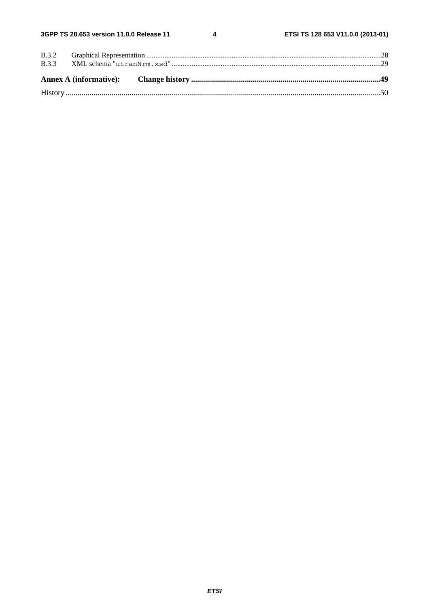$\overline{\mathbf{4}}$ 

| <b>B.3.3</b> |  |  |
|--------------|--|--|
|              |  |  |
|              |  |  |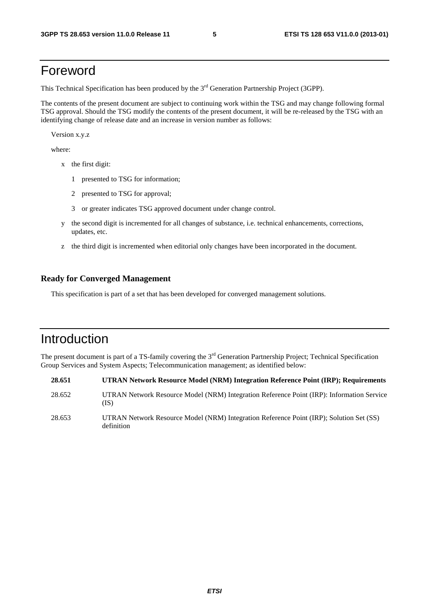# Foreword

This Technical Specification has been produced by the 3<sup>rd</sup> Generation Partnership Project (3GPP).

The contents of the present document are subject to continuing work within the TSG and may change following formal TSG approval. Should the TSG modify the contents of the present document, it will be re-released by the TSG with an identifying change of release date and an increase in version number as follows:

Version x.y.z

where:

- x the first digit:
	- 1 presented to TSG for information;
	- 2 presented to TSG for approval;
	- 3 or greater indicates TSG approved document under change control.
- y the second digit is incremented for all changes of substance, i.e. technical enhancements, corrections, updates, etc.
- z the third digit is incremented when editorial only changes have been incorporated in the document.

#### **Ready for Converged Management**

This specification is part of a set that has been developed for converged management solutions.

# Introduction

The present document is part of a TS-family covering the 3<sup>rd</sup> Generation Partnership Project; Technical Specification Group Services and System Aspects; Telecommunication management; as identified below:

| 28.651 | <b>UTRAN Network Resource Model (NRM) Integration Reference Point (IRP); Requirements</b>             |
|--------|-------------------------------------------------------------------------------------------------------|
| 28.652 | UTRAN Network Resource Model (NRM) Integration Reference Point (IRP): Information Service<br>(IS)     |
| 28.653 | UTRAN Network Resource Model (NRM) Integration Reference Point (IRP); Solution Set (SS)<br>definition |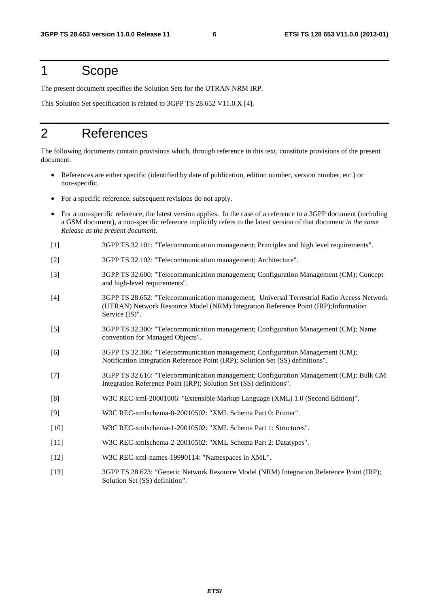# 1 Scope

The present document specifies the Solution Sets for the UTRAN NRM IRP.

This Solution Set specification is related to 3GPP TS 28.652 V11.0.X [4].

# 2 References

The following documents contain provisions which, through reference in this text, constitute provisions of the present document.

- References are either specific (identified by date of publication, edition number, version number, etc.) or non-specific.
- For a specific reference, subsequent revisions do not apply.
- For a non-specific reference, the latest version applies. In the case of a reference to a 3GPP document (including a GSM document), a non-specific reference implicitly refers to the latest version of that document *in the same Release as the present document*.
- [1] 3GPP TS 32.101: "Telecommunication management; Principles and high level requirements".
- [2] 3GPP TS 32.102: "Telecommunication management; Architecture".
- [3] 3GPP TS 32.600: "Telecommunication management; Configuration Management (CM); Concept and high-level requirements".
- [4] 3GPP TS 28.652: "Telecommunication management; Universal Terrestrial Radio Access Network (UTRAN) Network Resource Model (NRM) Integration Reference Point (IRP);Information Service (IS)".
- [5] 3GPP TS 32.300: "Telecommunication management; Configuration Management (CM); Name convention for Managed Objects".
- [6] 3GPP TS 32.306: "Telecommunication management; Configuration Management (CM); Notification Integration Reference Point (IRP); Solution Set (SS) definitions".
- [7] 3GPP TS 32.616: "Telecommunication management; Configuration Management (CM); Bulk CM Integration Reference Point (IRP); Solution Set (SS) definitions".
- [8] W3C REC-xml-20001006: "Extensible Markup Language (XML) 1.0 (Second Edition)".
- [9] W3C REC-xmlschema-0-20010502: "XML Schema Part 0: Primer".
- [10] W3C REC-xmlschema-1-20010502: "XML Schema Part 1: Structures".
- [11] W3C REC-xmlschema-2-20010502: "XML Schema Part 2: Datatypes".
- [12] W3C REC-xml-names-19990114: "Namespaces in XML".
- [13] 3GPP TS 28.623: "Generic Network Resource Model (NRM) Integration Reference Point (IRP); Solution Set (SS) definition".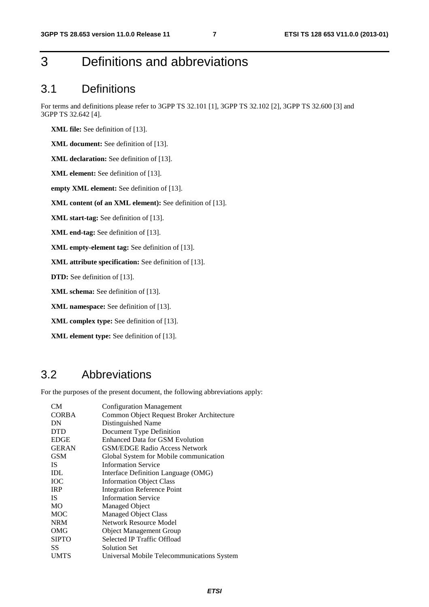# 3 Definitions and abbreviations

# 3.1 Definitions

For terms and definitions please refer to 3GPP TS 32.101 [1], 3GPP TS 32.102 [2], 3GPP TS 32.600 [3] and 3GPP TS 32.642 [4].

**XML file:** See definition of [13].

**XML document:** See definition of [13].

**XML declaration:** See definition of [13].

**XML element:** See definition of [13].

**empty XML element:** See definition of [13].

**XML content (of an XML element):** See definition of [13].

**XML start-tag:** See definition of [13].

**XML end-tag:** See definition of [13].

**XML empty-element tag:** See definition of [13].

**XML attribute specification:** See definition of [13].

**DTD:** See definition of [13].

**XML schema:** See definition of [13].

**XML namespace:** See definition of [13].

**XML complex type:** See definition of [13].

**XML element type:** See definition of [13].

# 3.2 Abbreviations

For the purposes of the present document, the following abbreviations apply:

| CМ           | <b>Configuration Management</b>            |
|--------------|--------------------------------------------|
| CORBA        | Common Object Request Broker Architecture  |
| DN           | Distinguished Name                         |
| <b>DTD</b>   | Document Type Definition                   |
| <b>EDGE</b>  | <b>Enhanced Data for GSM Evolution</b>     |
| <b>GERAN</b> | <b>GSM/EDGE Radio Access Network</b>       |
| GSM          | Global System for Mobile communication     |
| IS.          | <b>Information Service</b>                 |
| IDL          | Interface Definition Language (OMG)        |
| ЮC           | <b>Information Object Class</b>            |
| <b>IRP</b>   | <b>Integration Reference Point</b>         |
| IS           | <b>Information Service</b>                 |
| MO           | Managed Object                             |
| MOC          | <b>Managed Object Class</b>                |
| <b>NRM</b>   | Network Resource Model                     |
| OMG          | <b>Object Management Group</b>             |
| <b>SIPTO</b> | Selected IP Traffic Offload                |
| SS           | <b>Solution Set</b>                        |
| <b>UMTS</b>  | Universal Mobile Telecommunications System |
|              |                                            |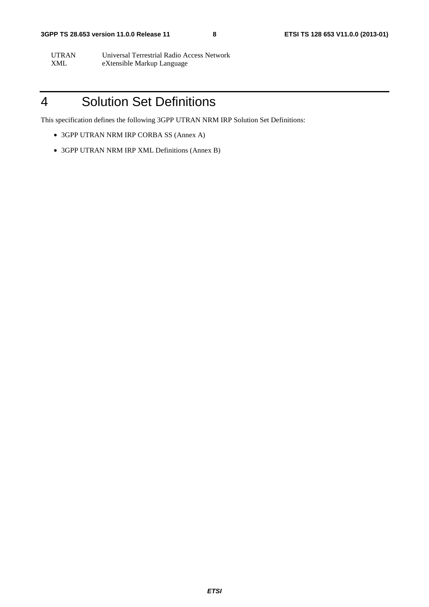UTRAN Universal Terrestrial Radio Access Network<br>XML eXtensible Markup Language eXtensible Markup Language

# 4 Solution Set Definitions

This specification defines the following 3GPP UTRAN NRM IRP Solution Set Definitions:

- 3GPP UTRAN NRM IRP CORBA SS (Annex A)
- 3GPP UTRAN NRM IRP XML Definitions (Annex B)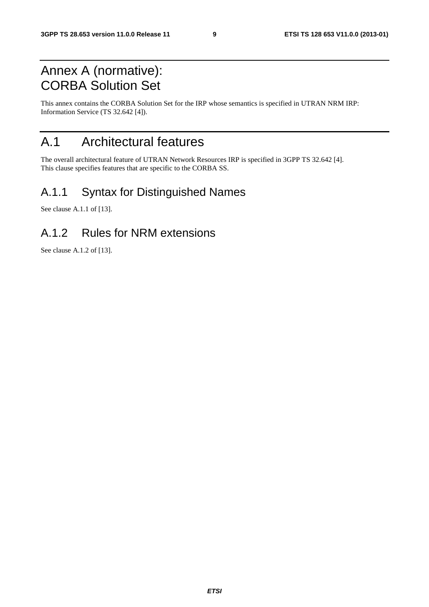# Annex A (normative): CORBA Solution Set

This annex contains the CORBA Solution Set for the IRP whose semantics is specified in UTRAN NRM IRP: Information Service (TS 32.642 [4]).

# A.1 Architectural features

The overall architectural feature of UTRAN Network Resources IRP is specified in 3GPP TS 32.642 [4]. This clause specifies features that are specific to the CORBA SS.

# A.1.1 Syntax for Distinguished Names

See clause A.1.1 of [13].

# A.1.2 Rules for NRM extensions

See clause A.1.2 of [13].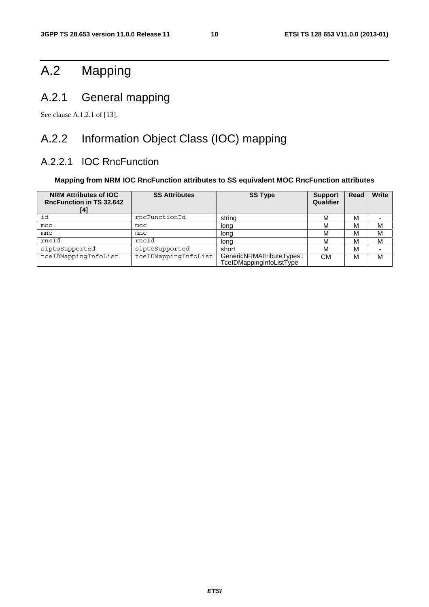# A.2 Mapping

# A.2.1 General mapping

See clause A.1.2.1 of [13].

# A.2.2 Information Object Class (IOC) mapping

### A.2.2.1 IOC RncFunction

#### **Mapping from NRM IOC RncFunction attributes to SS equivalent MOC RncFunction attributes**

| <b>NRM Attributes of IOC</b><br><b>RncFunction in TS 32.642</b><br>[4] | <b>SS Attributes</b> | <b>SS Type</b>                                         | <b>Support</b><br>Qualifier | Read | <b>Write</b> |
|------------------------------------------------------------------------|----------------------|--------------------------------------------------------|-----------------------------|------|--------------|
| id                                                                     | rncFunctionId        | string                                                 | М                           | М    |              |
| mcc                                                                    | mcc                  | long                                                   | M                           | М    | М            |
| mnc                                                                    | mnc                  | long                                                   | м                           | М    | М            |
| rncId                                                                  | rncId                | long                                                   | M                           | М    | м            |
| siptoSupported                                                         | siptoSupported       | short                                                  | М                           | М    |              |
| tceIDMappingInfoList                                                   | tceIDMappingInfoList | GenericNRMAttributeTypes::<br>TceIDMappingInfoListType | СM                          | M    | М            |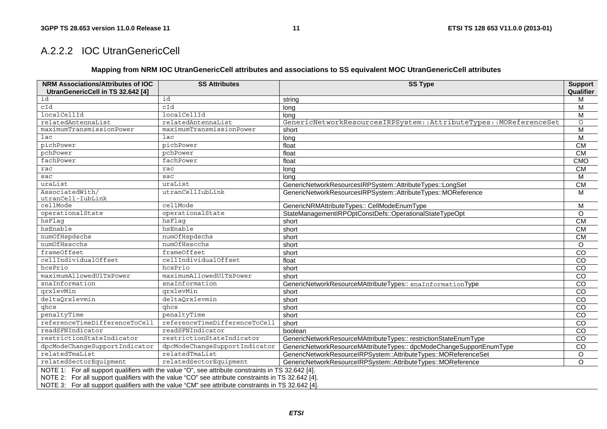### A.2.2.2 IOC UtranGenericCell

#### **Mapping from NRM IOC UtranGenericCell attributes and associations to SS equivalent MOC UtranGenericCell attributes**

| <b>NRM Associations/Attributes of IOC</b><br>UtranGenericCell in TS 32.642 [4]                                                                                                                                                                                                                                 | <b>SS Attributes</b>          | <b>SS Type</b>                                                       | <b>Support</b><br>Qualifier |  |  |  |  |
|----------------------------------------------------------------------------------------------------------------------------------------------------------------------------------------------------------------------------------------------------------------------------------------------------------------|-------------------------------|----------------------------------------------------------------------|-----------------------------|--|--|--|--|
| id                                                                                                                                                                                                                                                                                                             | id                            | string                                                               | M                           |  |  |  |  |
| cId                                                                                                                                                                                                                                                                                                            | cId                           | long                                                                 | M                           |  |  |  |  |
| localCellId                                                                                                                                                                                                                                                                                                    | localCellId                   | lona                                                                 | M                           |  |  |  |  |
| relatedAntennaList                                                                                                                                                                                                                                                                                             | relatedAntennaList            | GenericNetworkResourcesIRPSystem::AttributeTypes::MOReferenceSet     | $\circ$                     |  |  |  |  |
| maximumTransmissionPower                                                                                                                                                                                                                                                                                       | maximumTransmissionPower      | short                                                                | M                           |  |  |  |  |
| lac                                                                                                                                                                                                                                                                                                            | $_{\text{lac}}$               | long                                                                 | $\overline{\mathsf{M}}$     |  |  |  |  |
| pichPower                                                                                                                                                                                                                                                                                                      | pichPower                     | float                                                                | CM                          |  |  |  |  |
| pchPower                                                                                                                                                                                                                                                                                                       | pchPower                      | float                                                                | CM                          |  |  |  |  |
| fachPower                                                                                                                                                                                                                                                                                                      | fachPower                     | float                                                                | CMO                         |  |  |  |  |
| rac                                                                                                                                                                                                                                                                                                            | rac                           | long                                                                 | CM                          |  |  |  |  |
| sac                                                                                                                                                                                                                                                                                                            | sac                           | lona                                                                 | M                           |  |  |  |  |
| uraList                                                                                                                                                                                                                                                                                                        | uraList                       | GenericNetworkResourcesIRPSystem::AttributeTypes::LongSet            | CM                          |  |  |  |  |
| AssociatedWith/<br>utranCell-IubLink                                                                                                                                                                                                                                                                           | utranCellIubLink              | GenericNetworkResourcesIRPSystem::AttributeTypes::MOReference        | M                           |  |  |  |  |
| cellMode                                                                                                                                                                                                                                                                                                       | cellMode                      | GenericNRMAttributeTypes:: CellModeEnumType                          | M                           |  |  |  |  |
| operationalState                                                                                                                                                                                                                                                                                               | operationalState              | StateManagementIRPOptConstDefs::OperationalStateTypeOpt              | $\Omega$                    |  |  |  |  |
| hsFlag                                                                                                                                                                                                                                                                                                         | hsFlag                        | short                                                                | CM                          |  |  |  |  |
| hsEnable                                                                                                                                                                                                                                                                                                       | hsEnable                      | short                                                                | CM                          |  |  |  |  |
| numOfHspdschs                                                                                                                                                                                                                                                                                                  | numOfHspdschs                 | short                                                                | CM                          |  |  |  |  |
| numOfHsscchs                                                                                                                                                                                                                                                                                                   | numOfHsscchs                  | short                                                                | $\Omega$                    |  |  |  |  |
| frameOffset                                                                                                                                                                                                                                                                                                    | frameOffset                   | short                                                                | CO                          |  |  |  |  |
| cellIndividualOffset                                                                                                                                                                                                                                                                                           | cellIndividualOffset          | float                                                                | $\overline{C}$              |  |  |  |  |
| hcsPrio                                                                                                                                                                                                                                                                                                        | hcsPrio                       | short                                                                | CO                          |  |  |  |  |
| maximumAllowedUlTxPower                                                                                                                                                                                                                                                                                        | maximumAllowedUlTxPower       | short                                                                | CO                          |  |  |  |  |
| snaInformation                                                                                                                                                                                                                                                                                                 | snaInformation                | GenericNetworkResourceMAttributeTypes:: snaInformationType           | $\overline{c}$              |  |  |  |  |
| qrxlevMin                                                                                                                                                                                                                                                                                                      | qrxlevMin                     | short                                                                | $\overline{c}$              |  |  |  |  |
| deltaQrxlevmin                                                                                                                                                                                                                                                                                                 | deltaQrxlevmin                | short                                                                | $\overline{C}$              |  |  |  |  |
| $q$ <sub>hcs</sub>                                                                                                                                                                                                                                                                                             | ghcs                          | short                                                                | $\overline{c}$              |  |  |  |  |
| penaltyTime                                                                                                                                                                                                                                                                                                    | penaltyTime                   | short                                                                | $\overline{c}$              |  |  |  |  |
| referenceTimeDifferenceToCell                                                                                                                                                                                                                                                                                  | referenceTimeDifferenceToCell | short                                                                | $\overline{co}$             |  |  |  |  |
| readSFNIndicator                                                                                                                                                                                                                                                                                               | readSFNIndicator              | boolean                                                              | $\overline{c}$              |  |  |  |  |
| restrictionStateIndicator                                                                                                                                                                                                                                                                                      | restrictionStateIndicator     | GenericNetworkResourceMAttributeTypes:: restrictionStateEnumType     | $\overline{C}$              |  |  |  |  |
| dpcModeChangeSupportIndicator                                                                                                                                                                                                                                                                                  | dpcModeChangeSupportIndicator | GenericNetworkResourceMAttributeTypes:: dpcModeChangeSupportEnumType | CO                          |  |  |  |  |
| relatedTmaList                                                                                                                                                                                                                                                                                                 | relatedTmaList                | GenericNetworkResourceIRPSystem::AttributeTypes::MOReferenceSet      | $\circ$                     |  |  |  |  |
| relatedSectorEquipment                                                                                                                                                                                                                                                                                         | relatedSectorEquipment        | GenericNetworkResourceIRPSystem::AttributeTypes::MOReference         | $\Omega$                    |  |  |  |  |
| NOTE 1: For all support qualifiers with the value "O", see attribute constraints in TS 32.642 [4].<br>NOTE 2: For all support qualifiers with the value "CO" see attribute constraints in TS 32.642 [4].<br>NOTE 3: For all support qualifiers with the value "CM" see attribute constraints in TS 32.642 [4]. |                               |                                                                      |                             |  |  |  |  |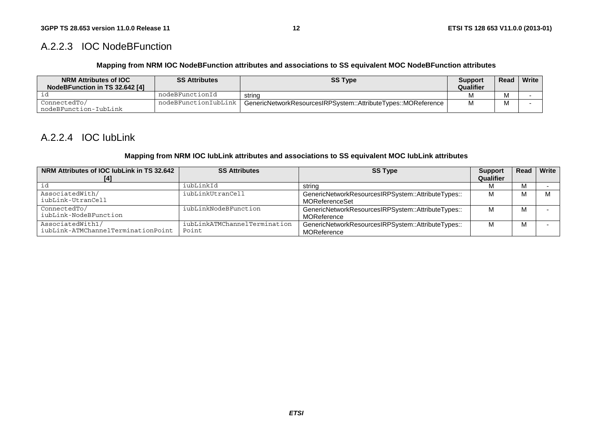### A.2.2.3 IOC NodeBFunction

#### **Mapping from NRM IOC NodeBFunction attributes and associations to SS equivalent MOC NodeBFunction attributes**

| <b>NRM Attributes of IOC</b><br>NodeBFunction in TS 32.642 [4] | <b>SS Attributes</b> | <b>SS Type</b>                                                | <b>Support</b><br>Qualifier | Read | Write |
|----------------------------------------------------------------|----------------------|---------------------------------------------------------------|-----------------------------|------|-------|
|                                                                | nodeBFunctionId      | strina                                                        |                             |      |       |
| ConnectedTo/<br>nodeBFunction-IubLink                          | nodeBFunctionIubLink | GenericNetworkResourcesIRPSystem::AttributeTypes::MOReference |                             |      |       |

### A.2.2.4 IOC IubLink

#### **Mapping from NRM IOC IubLink attributes and associations to SS equivalent MOC IubLink attributes**

| NRM Attributes of IOC lubLink in TS 32.642 | <b>SS Attributes</b>         | <b>SS Type</b>                                     | <b>Support</b> | Read | Write |
|--------------------------------------------|------------------------------|----------------------------------------------------|----------------|------|-------|
|                                            |                              |                                                    | Qualifier      |      |       |
| id                                         | iubLinkId                    | string                                             |                | М    |       |
| AssociatedWith/                            | iubLinkUtranCell             | GenericNetworkResourcesIRPSystem::AttributeTypes:: |                | M    |       |
| iubLink-UtranCell                          |                              | <b>MOReferenceSet</b>                              |                |      |       |
| ConnectedTo/                               | iubLinkNodeBFunction         | GenericNetworkResourcesIRPSystem::AttributeTypes:: | м              | м    |       |
| iubLink-NodeBFunction                      |                              | <b>MOReference</b>                                 |                |      |       |
| AssociatedWith1/                           | iubLinkATMChannelTermination | GenericNetworkResourcesIRPSystem::AttributeTypes:: | м              | м    |       |
| iubLink-ATMChannelTerminationPoint         | Point                        | MOReference                                        |                |      |       |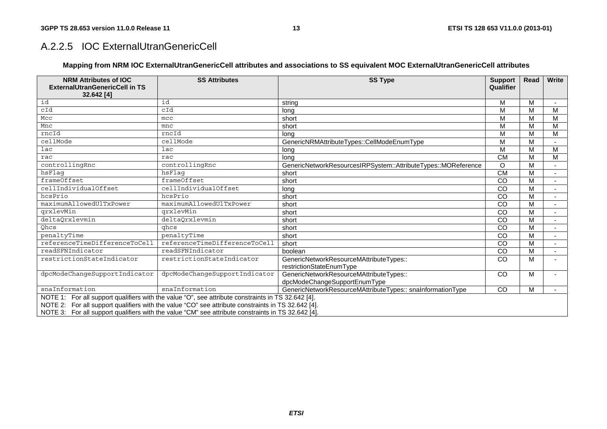### A.2.2.5 IOC ExternalUtranGenericCell

#### **Mapping from NRM IOC ExternalUtranGenericCell attributes and associations to SS equivalent MOC ExternalUtranGenericCell attributes**

| <b>NRM Attributes of IOC</b><br><b>ExternalUtranGenericCell in TS</b> | <b>SS Attributes</b>                                                                               | <b>SS Type</b>                                                | <b>Support</b><br>Qualifier | <b>Read</b> | Write |
|-----------------------------------------------------------------------|----------------------------------------------------------------------------------------------------|---------------------------------------------------------------|-----------------------------|-------------|-------|
| 32.642 [4]                                                            |                                                                                                    |                                                               |                             |             |       |
| id                                                                    | id                                                                                                 | string                                                        | M                           | М           |       |
| cId                                                                   | cId                                                                                                | lona                                                          | M                           | M           | M     |
| Mcc                                                                   | mcc                                                                                                | short                                                         | M                           | M           | м     |
| Mnc                                                                   | mnc                                                                                                | short                                                         | ${\sf M}$                   | M           | M     |
| rncId                                                                 | rncId                                                                                              | lona                                                          | M                           | M           | М     |
| cellMode                                                              | cellMode                                                                                           | GenericNRMAttributeTypes::CellModeEnumType                    | M                           | M           |       |
| lac                                                                   | $_{\text{lac}}$                                                                                    | long                                                          | M                           | M           | М     |
| rac                                                                   | rac                                                                                                | long                                                          | <b>CM</b>                   | M           | м     |
| controllingRnc                                                        | controllingRnc                                                                                     | GenericNetworkResourcesIRPSystem::AttributeTypes::MOReference | O                           | M           |       |
| hsFlaq                                                                | hsFlaq                                                                                             | short                                                         | CM                          | M           |       |
| frameOffset                                                           | frameOffset                                                                                        | short                                                         | CO                          | M           |       |
| cellIndividualOffset                                                  | cellIndividualOffset                                                                               | lona                                                          | $\overline{c}$              | M           |       |
| hcsPrio                                                               | hcsPrio                                                                                            | short                                                         | $\overline{c}$              | M           |       |
| maximumAllowedUlTxPower                                               | maximumAllowedUlTxPower                                                                            | short                                                         | CO                          | M           |       |
| qrxlevMin                                                             | qrxlevMin                                                                                          | short                                                         | CO                          | M           |       |
| deltaQrxlevmin                                                        | deltaQrxlevmin                                                                                     | short                                                         | CO                          | M           |       |
| Qhcs                                                                  | ghcs                                                                                               | short                                                         | $\overline{c}$              | M           |       |
| penaltyTime                                                           | penaltyTime                                                                                        | short                                                         | CO                          | M           |       |
| referenceTimeDifferenceToCell                                         | referenceTimeDifferenceToCell                                                                      | short                                                         | CO                          | M           |       |
| readSFNIndicator                                                      | readSFNIndicator                                                                                   | boolean                                                       | CO                          | M           |       |
| restrictionStateIndicator                                             | restrictionStateIndicator                                                                          | GenericNetworkResourceMAttributeTypes::                       | CO                          | M           |       |
|                                                                       |                                                                                                    | restrictionStateEnumType                                      |                             |             |       |
| dpcModeChangeSupportIndicator                                         | dpcModeChangeSupportIndicator                                                                      | GenericNetworkResourceMAttributeTypes::                       | <sub>CO</sub>               | M           |       |
|                                                                       |                                                                                                    | dpcModeChangeSupportEnumType                                  |                             |             |       |
| snaInformation                                                        | snaInformation                                                                                     | GenericNetworkResourceMAttributeTypes:: snaInformationType    | <sub>CO</sub>               | M           |       |
|                                                                       | NOTE 1: For all support qualifiers with the value "O", see attribute constraints in TS 32.642 [4]. |                                                               |                             |             |       |
|                                                                       | NOTE 2: For all support qualifiers with the value "CO" see attribute constraints in TS 32.642 [4]. |                                                               |                             |             |       |
|                                                                       | NOTE 3: For all support qualifiers with the value "CM" see attribute constraints in TS 32.642 [4]. |                                                               |                             |             |       |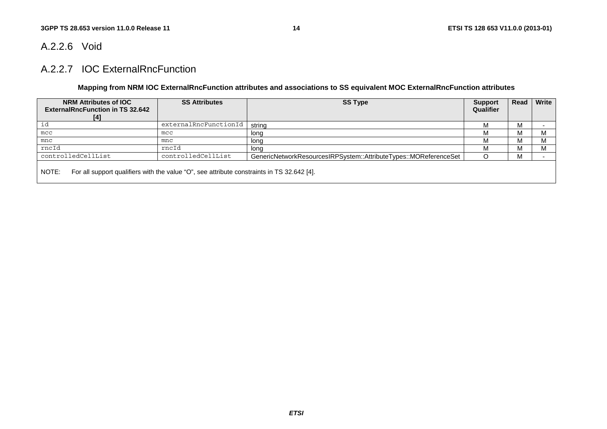### A.2.2.6 Void

### A.2.2.7 IOC ExternalRncFunction

#### **Mapping from NRM IOC ExternalRncFunction attributes and associations to SS equivalent MOC ExternalRncFunction attributes**

| NRM Attributes of IOC<br><b>ExternalRncFunction in TS 32.642</b><br>[4]                             | <b>SS Attributes</b>  | <b>SS Type</b>                                                   | <b>Support</b><br>Qualifier | Read       | Write |  |  |
|-----------------------------------------------------------------------------------------------------|-----------------------|------------------------------------------------------------------|-----------------------------|------------|-------|--|--|
| id                                                                                                  | externalRncFunctionId | strina                                                           |                             | ΙVΙ        |       |  |  |
| mcc                                                                                                 | mcc                   | long                                                             |                             | <b>IVI</b> |       |  |  |
| mnc                                                                                                 | mnc                   | long                                                             |                             | M          |       |  |  |
| rncId                                                                                               | rncId                 | lona                                                             |                             | <b>IVI</b> |       |  |  |
| controlledCellList                                                                                  | controlledCellList    | GenericNetworkResourcesIRPSystem::AttributeTypes::MOReferenceSet |                             | ΙVΙ        |       |  |  |
| For all support qualifiers with the value "O", see attribute constraints in TS 32.642 [4].<br>NOTE: |                       |                                                                  |                             |            |       |  |  |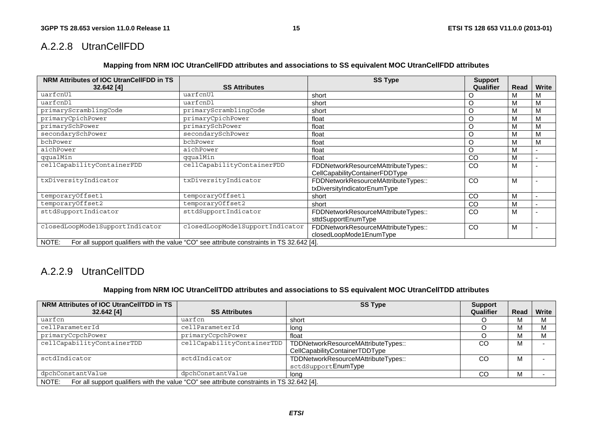### A.2.2.8 UtranCellFDD

**Mapping from NRM IOC UtranCellFDD attributes and associations to SS equivalent MOC UtranCellFDD attributes** 

| NRM Attributes of IOC UtranCellFDD in TS |                                                                                            | <b>SS Type</b>                      | <b>Support</b> |      |                          |
|------------------------------------------|--------------------------------------------------------------------------------------------|-------------------------------------|----------------|------|--------------------------|
| $32.642$ [4]                             | <b>SS Attributes</b>                                                                       |                                     | Qualifier      | Read | <b>Write</b>             |
| uarfcnUl                                 | uarfcnUl                                                                                   | short                               |                |      | M                        |
| uarfcnDl                                 | uarfcnDl                                                                                   | short                               | O              | M    | M                        |
| primaryScramblingCode                    | primaryScramblingCode                                                                      | short                               | Ω              | М    | M                        |
| primaryCpichPower                        | primaryCpichPower                                                                          | float                               | O              | M    | M                        |
| primarySchPower                          | primarySchPower                                                                            | float                               | Ω              | M    | M                        |
| secondarySchPower                        | secondarySchPower                                                                          | float                               | O              | M    | M                        |
| bchPower                                 | bchPower                                                                                   | float                               | O              | M    | M                        |
| aichPower                                | aichPower                                                                                  | float                               | O              | M    | $\overline{\phantom{0}}$ |
| qqualMin                                 | qqualMin                                                                                   | float                               | CO             | M    | $\overline{\phantom{a}}$ |
| cellCapabilityContainerFDD               | cellCapabilityContainerFDD                                                                 | FDDNetworkResourceMAttributeTypes:: | CO             | M    |                          |
|                                          |                                                                                            | CellCapabilityContainerFDDType      |                |      |                          |
| txDiversityIndicator                     | txDiversityIndicator                                                                       | FDDNetworkResourceMAttributeTypes:: | CO             | M    |                          |
|                                          |                                                                                            | txDiversityIndicatorEnumType        |                |      |                          |
| temporaryOffset1                         | temporaryOffset1                                                                           | short                               | CO             | M    | $\overline{\phantom{0}}$ |
| temporaryOffset2                         | temporaryOffset2                                                                           | short                               | CO             | M    | $\overline{\phantom{0}}$ |
| sttdSupportIndicator                     | sttdSupportIndicator                                                                       | FDDNetworkResourceMAttributeTypes:: | CO             | M    |                          |
|                                          |                                                                                            | sttdSupportEnumType                 |                |      |                          |
| closedLoopMode1SupportIndicator          | closedLoopMode1SupportIndicator                                                            | FDDNetworkResourceMAttributeTypes:: | CO             | M    |                          |
|                                          |                                                                                            | closedLoopMode1EnumType             |                |      |                          |
| NOTE:                                    | For all support qualifiers with the value "CO" see attribute constraints in TS 32.642 [4]. |                                     |                |      |                          |

# A.2.2.9 UtranCellTDD

#### **Mapping from NRM IOC UtranCellTDD attributes and associations to SS equivalent MOC UtranCellTDD attributes**

| NRM Attributes of IOC UtranCellTDD in TS |                                                                                            | <b>SS Type</b>                                                        | <b>Support</b> |      |              |
|------------------------------------------|--------------------------------------------------------------------------------------------|-----------------------------------------------------------------------|----------------|------|--------------|
| 32.642 [4]                               | <b>SS Attributes</b>                                                                       |                                                                       | Qualifier      | Read | <b>Write</b> |
| uarfcn                                   | uarfcn                                                                                     | short                                                                 |                | м    |              |
| cellParameterId                          | cellParameterId                                                                            | lona                                                                  |                |      | IVI.         |
| primaryCcpchPower                        | primaryCcpchPower                                                                          | float                                                                 |                |      |              |
| cellCapabilityContainerTDD               | cellCapabilityContainerTDD                                                                 | TDDNetworkResourceMAttributeTypes::<br>CellCapabilityContainerTDDType | CO             | M    |              |
| sctdIndicator                            | sctdIndicator                                                                              | TDDNetworkResourceMAttributeTypes::<br>sctdSupportEnumType            | CO             | м    |              |
| dpchConstantValue                        | dpchConstantValue                                                                          | lona                                                                  | CС             |      |              |
| NOTE:                                    | For all support qualifiers with the value "CO" see attribute constraints in TS 32.642 [4]. |                                                                       |                |      |              |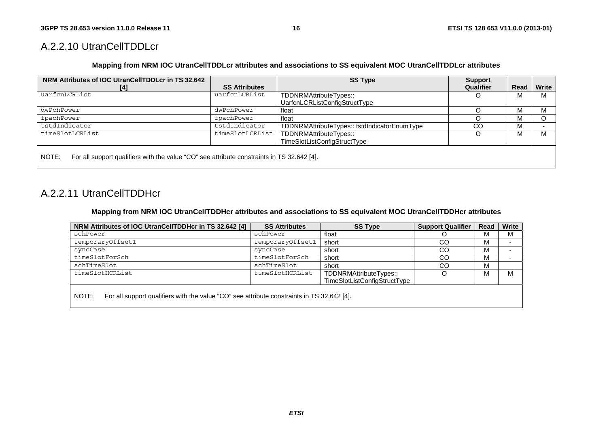### A.2.2.10 UtranCellTDDLcr

**Mapping from NRM IOC UtranCellTDDLcr attributes and associations to SS equivalent MOC UtranCellTDDLcr attributes** 

| NRM Attributes of IOC UtranCellTDDLcr in TS 32.642                                                  |                      | <b>SS Type</b>                               | <b>Support</b> |      |       |
|-----------------------------------------------------------------------------------------------------|----------------------|----------------------------------------------|----------------|------|-------|
| [4]                                                                                                 | <b>SS Attributes</b> |                                              | Qualifier      | Read | Write |
| uarfcnLCRList                                                                                       | uarfcnLCRList        | TDDNRMAttributeTypes::                       | O              | м    | М     |
|                                                                                                     |                      | UarfcnLCRListConfigStructType                |                |      |       |
| dwPchPower                                                                                          | dwPchPower           | float                                        |                | м    | М     |
| fpachPower                                                                                          | fpachPower           | float                                        |                | м    |       |
| tstdIndicator                                                                                       | tstdIndicator        | TDDNRMAttributeTypes:: tstdIndicatorEnumType | CO             | м    |       |
| timeSlotLCRList                                                                                     | timeSlotLCRList      | TDDNRMAttributeTypes::                       | O              | м    | м     |
|                                                                                                     |                      | TimeSlotListConfigStructType                 |                |      |       |
|                                                                                                     |                      |                                              |                |      |       |
| For all support qualifiers with the value "CO" see attribute constraints in TS 32.642 [4].<br>NOTE: |                      |                                              |                |      |       |
|                                                                                                     |                      |                                              |                |      |       |

### A.2.2.11 UtranCellTDDHcr

**Mapping from NRM IOC UtranCellTDDHcr attributes and associations to SS equivalent MOC UtranCellTDDHcr attributes** 

| NRM Attributes of IOC UtranCellTDDHcr in TS 32.642 [4] | <b>SS Attributes</b>                                                                       | <b>SS Type</b>                                         | <b>Support Qualifier</b> | Read | Write |  |  |  |  |
|--------------------------------------------------------|--------------------------------------------------------------------------------------------|--------------------------------------------------------|--------------------------|------|-------|--|--|--|--|
| schPower                                               | schPower                                                                                   | float                                                  |                          | М    | М     |  |  |  |  |
| temporaryOffset1                                       | temporaryOffset1                                                                           | short                                                  | CO                       | М    |       |  |  |  |  |
| syncCase                                               | syncCase                                                                                   | short                                                  | CO                       | м    |       |  |  |  |  |
| timeSlotForSch                                         | timeSlotForSch                                                                             | short                                                  | CO                       | м    |       |  |  |  |  |
| schTimeSlot                                            | schTimeSlot                                                                                | short                                                  | CO                       | М    |       |  |  |  |  |
| timeSlotHCRList                                        | timeSlotHCRList                                                                            | TDDNRMAttributeTypes::<br>TimeSlotListConfigStructType | O                        | м    | М     |  |  |  |  |
| NOTE:                                                  | For all support qualifiers with the value "CO" see attribute constraints in TS 32.642 [4]. |                                                        |                          |      |       |  |  |  |  |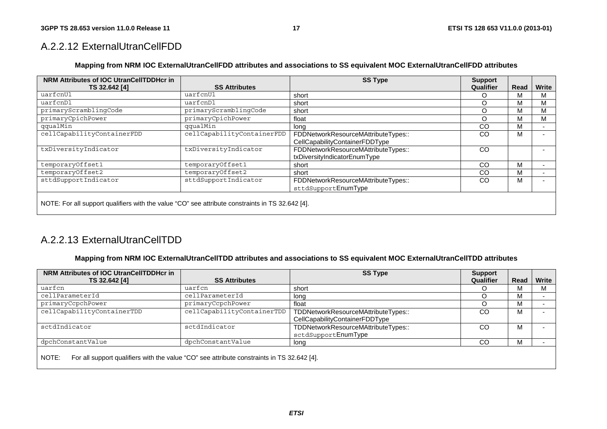### A.2.2.12 ExternalUtranCellFDD

#### **Mapping from NRM IOC ExternalUtranCellFDD attributes and associations to SS equivalent MOC ExternalUtranCellFDD attributes**

| NRM Attributes of IOC UtranCellTDDHcr in                                                         |                            | <b>SS Type</b>                      | <b>Support</b> |      |              |
|--------------------------------------------------------------------------------------------------|----------------------------|-------------------------------------|----------------|------|--------------|
| TS 32.642 [4]                                                                                    | <b>SS Attributes</b>       |                                     | Qualifier      | Read | <b>Write</b> |
| uarfcnUl                                                                                         | uarfcnUl                   | short                               | ∩              | м    | м            |
| uarfcnDl                                                                                         | uarfcnDl                   | short                               | O              | м    | M            |
| primaryScramblingCode                                                                            | primaryScramblingCode      | short                               | O              | м    | м            |
| primaryCpichPower                                                                                | primaryCpichPower          | float                               | $\circ$        | м    | м            |
| qqualMin                                                                                         | qqualMin                   | long                                | CO             | М    |              |
| cellCapabilityContainerFDD                                                                       | cellCapabilityContainerFDD | FDDNetworkResourceMAttributeTypes:: | CO             | М    |              |
|                                                                                                  |                            | CellCapabilityContainerFDDType      |                |      |              |
| txDiversityIndicator                                                                             | txDiversityIndicator       | FDDNetworkResourceMAttributeTypes:: | CO             |      |              |
|                                                                                                  |                            | txDiversityIndicatorEnumType        |                |      |              |
| temporaryOffset1                                                                                 | temporaryOffset1           | short                               | CO             | м    |              |
| temporaryOffset2                                                                                 | temporaryOffset2           | short                               | CO             | м    |              |
| sttdSupportIndicator                                                                             | sttdSupportIndicator       | FDDNetworkResourceMAttributeTypes:: | CO             | М    |              |
|                                                                                                  |                            | sttdSupportEnumType                 |                |      |              |
|                                                                                                  |                            |                                     |                |      |              |
| NOTE: For all support qualifiers with the value "CO" see attribute constraints in TS 32.642 [4]. |                            |                                     |                |      |              |

### A.2.2.13 ExternalUtranCellTDD

#### **Mapping from NRM IOC ExternalUtranCellTDD attributes and associations to SS equivalent MOC ExternalUtranCellTDD attributes**

| NRM Attributes of IOC UtranCellTDDHcr in |                                                                                            | <b>SS Type</b>                                                        | <b>Support</b> |      |       |
|------------------------------------------|--------------------------------------------------------------------------------------------|-----------------------------------------------------------------------|----------------|------|-------|
| TS 32.642 [4]                            | <b>SS Attributes</b>                                                                       |                                                                       | Qualifier      | Read | Write |
| uarfcn                                   | uarfcn                                                                                     | short                                                                 |                | M    |       |
| cellParameterId                          | cellParameterId                                                                            | long                                                                  |                | M    |       |
| primaryCcpchPower                        | primaryCcpchPower                                                                          | float                                                                 |                | M    |       |
| cellCapabilityContainerTDD               | cellCapabilityContainerTDD                                                                 | TDDNetworkResourceMAttributeTypes::<br>CellCapabilityContainerFDDType | CO             | M    |       |
| sctdIndicator                            | sctdIndicator                                                                              | TDDNetworkResourceMAttributeTypes::<br>sctdSupportEnumType            | CO             | M    |       |
| dpchConstantValue                        | dpchConstantValue                                                                          | long                                                                  | CO             | M    |       |
| NOTE:                                    | For all support qualifiers with the value "CO" see attribute constraints in TS 32.642 [4]. |                                                                       |                |      |       |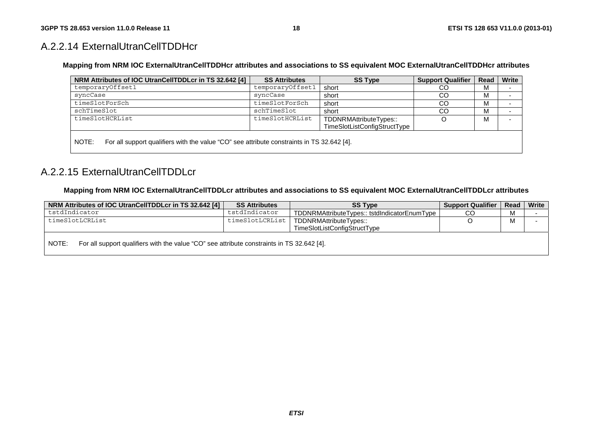### A.2.2.14 ExternalUtranCellTDDHcr

**Mapping from NRM IOC ExternalUtranCellTDDHcr attributes and associations to SS equivalent MOC ExternalUtranCellTDDHcr attributes** 

| NRM Attributes of IOC UtranCellTDDLcr in TS 32.642 [4]                                              | <b>SS Attributes</b> | <b>SS Type</b>               | <b>Support Qualifier</b> | Read | Write |
|-----------------------------------------------------------------------------------------------------|----------------------|------------------------------|--------------------------|------|-------|
| temporaryOffset1                                                                                    | temporaryOffset1     | short                        | CO                       |      |       |
| syncCase                                                                                            | syncCase             | short                        | CO                       | м    |       |
| timeSlotForSch                                                                                      | timeSlotForSch       | short                        | CO.                      | м    |       |
| schTimeSlot                                                                                         | schTimeSlot          | short                        | CO.                      |      |       |
| timeSlotHCRList                                                                                     | timeSlotHCRList      | TDDNRMAttributeTypes::       | O                        | м    |       |
|                                                                                                     |                      | TimeSlotListConfigStructType |                          |      |       |
| NOTE:<br>For all support qualifiers with the value "CO" see attribute constraints in TS 32.642 [4]. |                      |                              |                          |      |       |

### A.2.2.15 ExternalUtranCellTDDLcr

#### **Mapping from NRM IOC ExternalUtranCellTDDLcr attributes and associations to SS equivalent MOC ExternalUtranCellTDDLcr attributes**

| NRM Attributes of IOC UtranCellTDDLcr in TS 32.642 [4]                                              | <b>SS Attributes</b> | <b>SS Type</b>                               | <b>Support Qualifier</b> | Read       | Write |
|-----------------------------------------------------------------------------------------------------|----------------------|----------------------------------------------|--------------------------|------------|-------|
| tstdIndicator                                                                                       | tstdIndicator        | TDDNRMAttributeTypes:: tstdIndicatorEnumType | CO                       | <b>IVI</b> |       |
| timeSlotLCRList                                                                                     | timeSlotLCRList      | TDDNRMAttributeTypes::                       |                          | ΙVΙ        |       |
|                                                                                                     |                      | TimeSlotListConfigStructType                 |                          |            |       |
| For all support qualifiers with the value "CO" see attribute constraints in TS 32.642 [4].<br>NOTE: |                      |                                              |                          |            |       |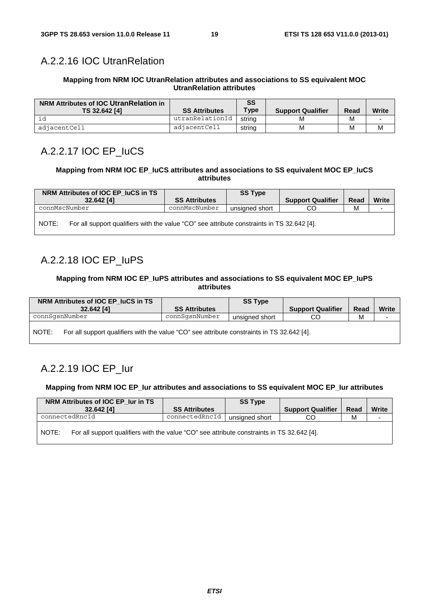# A.2.2.16 IOC UtranRelation

#### **Mapping from NRM IOC UtranRelation attributes and associations to SS equivalent MOC UtranRelation attributes**

| NRM Attributes of IOC UtranRelation in<br>TS 32.642 [4] | <b>SS Attributes</b> | <b>SS</b><br><b>Type</b> | <b>Support Qualifier</b> | Read | Write |
|---------------------------------------------------------|----------------------|--------------------------|--------------------------|------|-------|
|                                                         | utranRelationId      | string                   | M                        | М    |       |
| adjacentCell                                            | adjacentCell         | string                   | M                        | M    | M     |

# A.2.2.17 IOC EP\_IuCS

#### **Mapping from NRM IOC EP\_IuCS attributes and associations to SS equivalent MOC EP\_IuCS attributes**

| NRM Attributes of IOC EP IuCS in TS |  |                                                                                            | <b>SS Type</b> |                          |      |              |
|-------------------------------------|--|--------------------------------------------------------------------------------------------|----------------|--------------------------|------|--------------|
| 32.642 [4]                          |  | <b>SS Attributes</b>                                                                       |                | <b>Support Qualifier</b> | Read | <b>Write</b> |
| connMscNumber                       |  | connMscNumber                                                                              | unsigned short | CO                       | м    |              |
| NOTE:                               |  | For all support qualifiers with the value "CO" see attribute constraints in TS 32.642 [4]. |                |                          |      |              |

### A.2.2.18 IOC EP\_IuPS

#### **Mapping from NRM IOC EP\_IuPS attributes and associations to SS equivalent MOC EP\_IuPS attributes**

| NRM Attributes of IOC EP_IuCS in TS                                                                 |                      | <b>SS Type</b> |                          |      |              |
|-----------------------------------------------------------------------------------------------------|----------------------|----------------|--------------------------|------|--------------|
| 32.642 [4]                                                                                          | <b>SS Attributes</b> |                | <b>Support Qualifier</b> | Read | <b>Write</b> |
| connSqsnNumber                                                                                      | connSqsnNumber       | unsigned short | CO                       | M    |              |
| NOTE:<br>For all support qualifiers with the value "CO" see attribute constraints in TS 32.642 [4]. |                      |                |                          |      |              |

# A.2.2.19 IOC EP\_Iur

#### **Mapping from NRM IOC EP\_Iur attributes and associations to SS equivalent MOC EP\_Iur attributes**

| NRM Attributes of IOC EP Iur in TS<br>32.642 [4] | <b>SS Attributes</b>                                                                       | <b>SS Type</b> | <b>Support Qualifier</b> | Read | <b>Write</b> |  |  |  |
|--------------------------------------------------|--------------------------------------------------------------------------------------------|----------------|--------------------------|------|--------------|--|--|--|
| connectedRncId                                   | connectedRncId                                                                             | unsigned short |                          | м    |              |  |  |  |
| NOTE:                                            | For all support qualifiers with the value "CO" see attribute constraints in TS 32.642 [4]. |                |                          |      |              |  |  |  |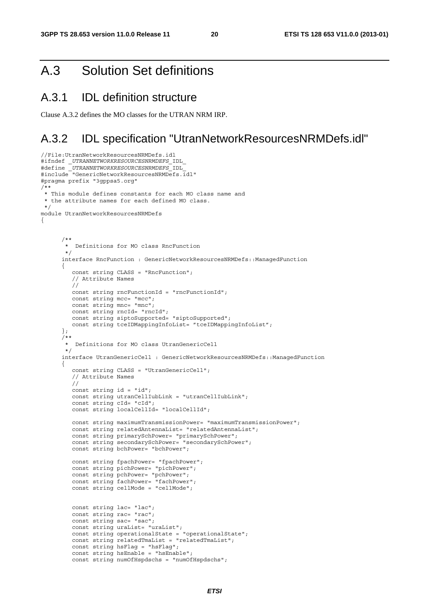{

# A.3 Solution Set definitions

### A.3.1 IDL definition structure

Clause A.3.2 defines the MO classes for the UTRAN NRM IRP.

# A.3.2 IDL specification "UtranNetworkResourcesNRMDefs.idl"

```
//File:UtranNetworkResourcesNRMDefs.idl 
#ifndef _UTRANNETWORKRESOURCESNRMDEFS_IDL_ 
#define _UTRANNETWORKRESOURCESNRMDEFS_IDL_ 
#include "GenericNetworkResourcesNRMDefs.idl" 
#pragma prefix "3gppsa5.org" 
/** 
 * This module defines constants for each MO class name and 
  * the attribute names for each defined MO class. 
 */ 
module UtranNetworkResourcesNRMDefs 
 /** 
        * Definitions for MO class RncFunction 
        */ 
       interface RncFunction : GenericNetworkResourcesNRMDefs::ManagedFunction 
\left\{ \begin{array}{ccc} 1 & 1 \\ 1 & 1 \end{array} \right\} const string CLASS = "RncFunction"; 
          // Attribute Names 
          // 
          const string rncFunctionId = "rncFunctionId"; 
         const string mcc= "mcc";
         const string mnc= "mnc";
          const string rncId= "rncId"; 
          const string siptoSupported= "siptoSupported"; 
          const string tceIDMappingInfoList= "tceIDMappingInfoList"; 
       }; 
       /** 
        * Definitions for MO class UtranGenericCell 
        */ 
      interface UtranGenericCell : GenericNetworkResourcesNRMDefs: : ManagedFunction
       { 
          const string CLASS = "UtranGenericCell"; 
          // Attribute Names 
          // 
          const string id = "id"; 
          const string utranCellIubLink = "utranCellIubLink"; 
         const string cId= "cId";
         const string localCellId= "localCellId":
          const string maximumTransmissionPower= "maximumTransmissionPower"; 
          const string relatedAntennaList= "relatedAntennaList"; 
          const string primarySchPower= "primarySchPower"; 
          const string secondarySchPower= "secondarySchPower"; 
          const string bchPower= "bchPower"; 
          const string fpachPower= "fpachPower"; 
          const string pichPower= "pichPower"; 
          const string pchPower= "pchPower"; 
         const string fachPower= "fachPower";
          const string cellMode = "cellMode"; 
          const string lac= "lac"; 
         const string rac= "rac";
         const string sac= "sac";
          const string uraList= "uraList"; 
          const string operationalState = "operationalState"; 
          const string relatedTmaList = "relatedTmaList"; 
          const string hsFlag = "hsFlag"; 
          const string hsEnable = "hsEnable"; 
          const string numOfHspdschs = "numOfHspdschs";
```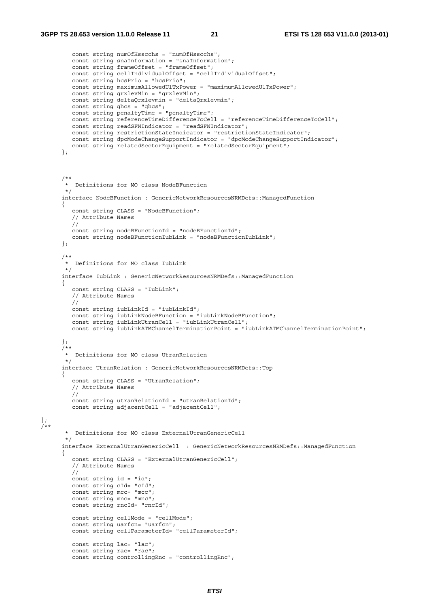$\}$ ;

```
 const string numOfHsscchs = "numOfHsscchs"; 
          const string snaInformation = "snaInformation"; 
         const string frameOffset = "frameOffset"; 
          const string cellIndividualOffset = "cellIndividualOffset"; 
          const string hcsPrio = "hcsPrio"; 
          const string maximumAllowedUlTxPower = "maximumAllowedUlTxPower"; 
          const string qrxlevMin = "qrxlevMin"; 
         const string deltaQrxlevmin = "deltaQrxlevmin"; 
          const string qhcs = "qhcs"; 
          const string penaltyTime = "penaltyTime"; 
          const string referenceTimeDifferenceToCell = "referenceTimeDifferenceToCell"; 
         const string readSFNIndicator = "readSFNIndicator"; 
          const string restrictionStateIndicator = "restrictionStateIndicator"; 
          const string dpcModeChangeSupportIndicator = "dpcModeChangeSupportIndicator"; 
          const string relatedSectorEquipment = "relatedSectorEquipment"; 
       }; 
 /** 
        * Definitions for MO class NodeBFunction 
 */ 
       interface NodeBFunction : GenericNetworkResourcesNRMDefs::ManagedFunction 
      \{ const string CLASS = "NodeBFunction"; 
          // Attribute Names 
         // 
         const string nodeBFunctionId = "nodeBFunctionId"; 
         const string nodeBFunctionIubLink = "nodeBFunctionIubLink"; 
       }; 
       /** 
        * Definitions for MO class IubLink 
       */ 
      interface IubLink : GenericNetworkResourcesNRMDefs: : ManagedFunction
       { 
          const string CLASS = "IubLink"; 
         // Attribute Names 
          // 
         const string iubLinkId = "iubLinkId"; 
          const string iubLinkNodeBFunction = "iubLinkNodeBFunction"; 
         const string iubLinkUtranCell = "iubLinkUtranCell"; 
         const string iubLinkATMChannelTerminationPoint = "iubLinkATMChannelTerminationPoint"; 
       }; 
       /** 
       * Definitions for MO class UtranRelation 
       */ 
       interface UtranRelation : GenericNetworkResourcesNRMDefs::Top 
       { 
          const string CLASS = "UtranRelation"; 
          // Attribute Names 
          // 
          const string utranRelationId = "utranRelationId"; 
         const string adjacentCell = "adjacentCell"; 
/** 
        * Definitions for MO class ExternalUtranGenericCell 
       */ 
       interface ExternalUtranGenericCell : GenericNetworkResourcesNRMDefs::ManagedFunction 
       { 
          const string CLASS = "ExternalUtranGenericCell"; 
 // Attribute Names 
 // 
         const string id = "id"; const string cId= "cId"; 
        const string mcc= "mcc";
        const string mnc= "mnc";
          const string rncId= "rncId"; 
          const string cellMode = "cellMode"; 
          const string uarfcn= "uarfcn"; 
         const string cellParameterId= "cellParameterId"; 
         const string lac= "lac";
          const string rac= "rac"; 
          const string controllingRnc = "controllingRnc";
```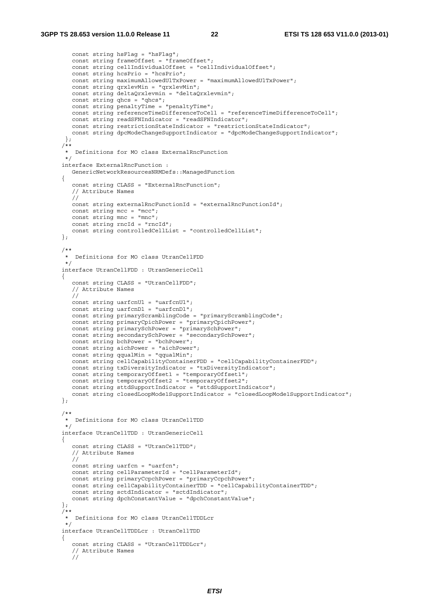```
 const string hsFlag = "hsFlag"; 
          const string frameOffset = "frameOffset"; 
          const string cellIndividualOffset = "cellIndividualOffset"; 
          const string hcsPrio = "hcsPrio"; 
          const string maximumAllowedUlTxPower = "maximumAllowedUlTxPower"; 
          const string qrxlevMin = "qrxlevMin"; 
          const string deltaQrxlevmin = "deltaQrxlevmin"; 
         const string ghcs = "ghcs";
          const string penaltyTime = "penaltyTime"; 
          const string referenceTimeDifferenceToCell = "referenceTimeDifferenceToCell"; 
          const string readSFNIndicator = "readSFNIndicator"; 
         const string restrictionStateIndicator = "restrictionStateIndicator";
          const string dpcModeChangeSupportIndicator = "dpcModeChangeSupportIndicator"; 
        }; 
       /** 
        * Definitions for MO class ExternalRncFunction 
        */ 
       interface ExternalRncFunction : 
          GenericNetworkResourcesNRMDefs::ManagedFunction 
       { 
          const string CLASS = "ExternalRncFunction"; 
          // Attribute Names 
          // 
          const string externalRncFunctionId = "externalRncFunctionId"; 
          const string mcc = "mcc"; 
          const string mnc = "mnc"; 
          const string rncId = "rncId"; 
          const string controlledCellList = "controlledCellList"; 
       }; 
       /** 
        * Definitions for MO class UtranCellFDD 
        */ 
       interface UtranCellFDD : UtranGenericCell 
      \left\{ \right. const string CLASS = "UtranCellFDD"; 
          // Attribute Names 
          // 
          const string uarfcnUl = "uarfcnUl"; 
         const string uarfcnDl = "uarfcnDl";
          const string primaryScramblingCode = "primaryScramblingCode"; 
          const string primaryCpichPower = "primaryCpichPower"; 
          const string primarySchPower = "primarySchPower"; 
          const string secondarySchPower = "secondarySchPower"; 
          const string bchPower = "bchPower"; 
          const string aichPower = "aichPower"; 
          const string qqualMin = "qqualMin"; 
          const string cellCapabilityContainerFDD = "cellCapabilityContainerFDD"; 
          const string txDiversityIndicator = "txDiversityIndicator"; 
          const string temporaryOffset1 = "temporaryOffset1"; 
          const string temporaryOffset2 = "temporaryOffset2"; 
          const string sttdSupportIndicator = "sttdSupportIndicator"; 
          const string closedLoopMode1SupportIndicator = "closedLoopMode1SupportIndicator"; 
       }; 
       /** 
        * Definitions for MO class UtranCellTDD 
        */ 
       interface UtranCellTDD : UtranGenericCell 
\left\{ \begin{array}{ccc} 1 & 1 \\ 1 & 1 \end{array} \right\} const string CLASS = "UtranCellTDD"; 
          // Attribute Names 
          // 
 const string uarfcn = "uarfcn"; 
 const string cellParameterId = "cellParameterId"; 
          const string primaryCcpchPower = "primaryCcpchPower"; 
          const string cellCapabilityContainerTDD = "cellCapabilityContainerTDD"; 
          const string sctdIndicator = "sctdIndicator"; 
          const string dpchConstantValue = "dpchConstantValue"; 
       }; 
      7 * * * Definitions for MO class UtranCellTDDLcr 
        */ 
       interface UtranCellTDDLcr : UtranCellTDD 
       { 
          const string CLASS = "UtranCellTDDLcr"; 
          // Attribute Names 
          //
```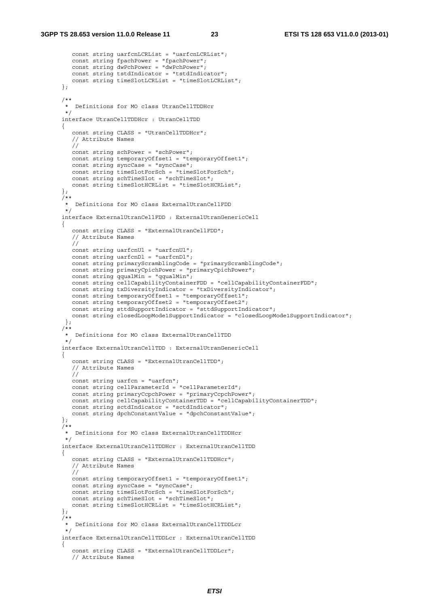```
 const string uarfcnLCRList = "uarfcnLCRList"; 
          const string fpachPower = "fpachPower"; 
          const string dwPchPower = "dwPchPower"; 
          const string tstdIndicator = "tstdIndicator"; 
          const string timeSlotLCRList = "timeSlotLCRList"; 
       }; 
 /** 
        * Definitions for MO class UtranCellTDDHcr 
        */ 
       interface UtranCellTDDHcr : UtranCellTDD 
\left\{ \begin{array}{ccc} 1 & 1 \\ 1 & 1 \end{array} \right\} const string CLASS = "UtranCellTDDHcr"; 
          // Attribute Names 
          // 
          const string schPower = "schPower"; 
          const string temporaryOffset1 = "temporaryOffset1"; 
          const string syncCase = "syncCase"; 
          const string timeSlotForSch = "timeSlotForSch"; 
          const string schTimeSlot = "schTimeSlot"; 
          const string timeSlotHCRList = "timeSlotHCRList"; 
       }; 
 /** 
        * Definitions for MO class ExternalUtranCellFDD 
        */ 
       interface ExternalUtranCellFDD : ExternalUtranGenericCell 
       { 
          const string CLASS = "ExternalUtranCellFDD"; 
          // Attribute Names 
          // 
          const string uarfcnUl = "uarfcnUl"; 
         const string uarfcnDl = "uarfcnDl";
          const string primaryScramblingCode = "primaryScramblingCode"; 
          const string primaryCpichPower = "primaryCpichPower"; 
          const string qqualMin = "qqualMin"; 
          const string cellCapabilityContainerFDD = "cellCapabilityContainerFDD"; 
          const string txDiversityIndicator = "txDiversityIndicator"; 
         const string temporaryOffset1 = "temporaryOffset1";
         const string temporaryOffset2 = "temporaryOffset2";
          const string sttdSupportIndicator = "sttdSupportIndicator"; 
          const string closedLoopMode1SupportIndicator = "closedLoopMode1SupportIndicator"; 
        }; 
       /** 
        * Definitions for MO class ExternalUtranCellTDD 
        */ 
       interface ExternalUtranCellTDD : ExternalUtranGenericCell 
\left\{ \begin{array}{ccc} 1 & 1 \\ 1 & 1 \end{array} \right\} const string CLASS = "ExternalUtranCellTDD"; 
           // Attribute Names 
          // 
          const string uarfcn = "uarfcn"; 
          const string cellParameterId = "cellParameterId"; 
          const string primaryCcpchPower = "primaryCcpchPower"; 
          const string cellCapabilityContainerTDD = "cellCapabilityContainerTDD"; 
          const string sctdIndicator = "sctdIndicator"; 
          const string dpchConstantValue = "dpchConstantValue"; 
       }; 
       /** 
        * Definitions for MO class ExternalUtranCellTDDHcr 
        */ 
       interface ExternalUtranCellTDDHcr : ExternalUtranCellTDD 
       { 
          const string CLASS = "ExternalUtranCellTDDHcr"; 
          // Attribute Names 
         \frac{1}{\sqrt{2}} const string temporaryOffset1 = "temporaryOffset1"; 
          const string syncCase = "syncCase"; 
          const string timeSlotForSch = "timeSlotForSch"; 
          const string schTimeSlot = "schTimeSlot"; 
          const string timeSlotHCRList = "timeSlotHCRList"; 
       }; 
      7** * Definitions for MO class ExternalUtranCellTDDLcr 
        */ 
       interface ExternalUtranCellTDDLcr : ExternalUtranCellTDD 
\left\{ \begin{array}{ccc} 1 & 1 \\ 1 & 1 \end{array} \right\} const string CLASS = "ExternalUtranCellTDDLcr"; 
          // Attribute Names
```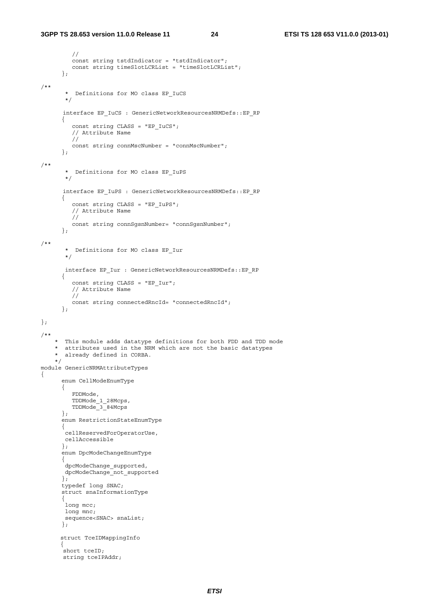//

```
 const string tstdIndicator = "tstdIndicator"; 
          const string timeSlotLCRList = "timeSlotLCRList"; 
       }; 
/** 
         * Definitions for MO class EP_IuCS 
         */ 
        interface EP_IuCS : GenericNetworkResourcesNRMDefs::EP_RP 
       { 
           const string CLASS = "EP_IuCS"; 
           // Attribute Name 
          // 
          const string connMscNumber = "connMscNumber"; 
       }; 
/** 
        * Definitions for MO class EP_IuPS 
         */ 
        interface EP_IuPS : GenericNetworkResourcesNRMDefs::EP_RP 
       { 
           const string CLASS = "EP_IuPS"; 
           // Attribute Name 
           // 
          const string connSgsnNumber= "connSgsnNumber"; 
       }; 
/** 
         * Definitions for MO class EP_Iur 
        */ 
        interface EP_Iur : GenericNetworkResourcesNRMDefs::EP_RP 
       { 
          const string CLASS = "EP Iur";
           // Attribute Name 
           // 
           const string connectedRncId= "connectedRncId"; 
       }; 
}; 
/** 
     * This module adds datatype definitions for both FDD and TDD mode 
     * attributes used in the NRM which are not the basic datatypes 
       already defined in CORBA.
     */ 
module GenericNRMAttributeTypes 
{ 
       enum CellModeEnumType 
       { 
          FDDMode, 
          TDDMode_1_28Mcps, 
          TDDMode_3_84Mcps 
       }; 
       enum RestrictionStateEnumType 
       { 
        cellReservedForOperatorUse, 
        cellAccessible 
       }; 
       enum DpcModeChangeEnumType 
       { 
        dpcModeChange_supported, 
        dpcModeChange_not_supported 
       }; 
       typedef long SNAC; 
       struct snaInformationType 
       { 
       long mcc;
        long mnc; 
       sequence<SNAC> snaList;
       }; 
       struct TceIDMappingInfo 
\{.<br>short tceID;
        string tceIPAddr;
```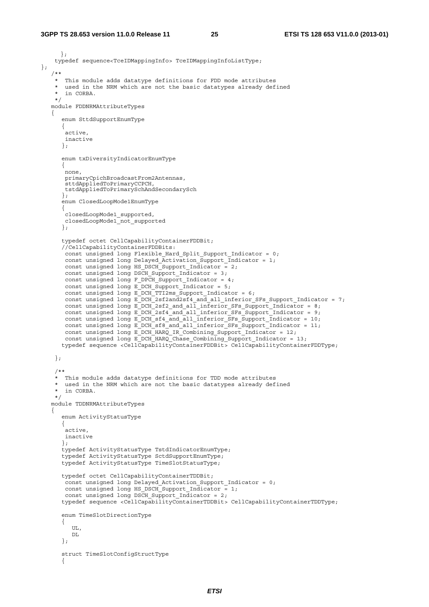};

```
 }; 
    typedef sequence<TceIDMappingInfo> TceIDMappingInfoListType; 
    /** 
    * This module adds datatype definitions for FDD mode attributes 
    * used in the NRM which are not the basic datatypes already defined 
      in CORBA.
    */ 
   module FDDNRMAttributeTypes 
    { 
       enum SttdSupportEnumType 
      \left\{ \right. active, 
       inactive 
       }; 
       enum txDiversityIndicatorEnumType 
       { 
       none, 
       primaryCpichBroadcastFrom2Antennas, 
        sttdAppliedToPrimaryCCPCH, 
        tstdAppliedToPrimarySchAndSecondarySch 
       }; 
       enum ClosedLoopMode1EnumType 
       { 
        closedLoopMode1_supported, 
       closedLoopMode1_not_supported 
       }; 
       typedef octet CellCapabilityContainerFDDBit; 
       //CellCapabilityContainerFDDBits: 
        const unsigned long Flexible_Hard_Split_Support_Indicator = 0; 
        const unsigned long Delayed_Activation_Support_Indicator = 1; 
       const unsigned long HS_DSCH_Support_Indicator = 2;
      const unsigned long DSCH Support Indicator = 3;
       const unsigned long F_DPCH_Support_Indicator = 4;
       const unsigned long E_DCH_Support_Indicator = 5; 
        const unsigned long E_DCH_TTI2ms_Support_Indicator = 6; 
       const unsigned long E_DCH_2sf2and2sf4_and_all_inferior_SFs_Support_Indicator = 7;
      const unsigned long E_DCH_2sf2_and_all_inferior_SFs_Support_Indicator = 8;
const unsigned long E DCH 2sf4 and all inferior SFs Support Indicator = 9;
const unsigned long E DCH sf4 and all inferior SFs Support Indicator = 10;
      const unsigned long E\overline{DCH\ sfs} and all inferior SFs Support Indicator = 11;
 const unsigned long E_DCH_HARQ_IR_Combining_Support_Indicator = 12; 
const unsigned long E_DCH_HARQ_Chase Combining Support Indicator = 13;
      typedef sequence <CellCapabilityContainerFDDBit> CellCapabilityContainerFDDType; 
    }; 
     /** 
    * This module adds datatype definitions for TDD mode attributes 
      used in the NRM which are not the basic datatypes already defined
      in CORBA.
    */ 
    module TDDNRMAttributeTypes 
\left\{\begin{array}{c}1\end{array}\right\} enum ActivityStatusType 
       { 
       active, 
       inactive 
       }; 
       typedef ActivityStatusType TstdIndicatorEnumType; 
       typedef ActivityStatusType SctdSupportEnumType; 
       typedef ActivityStatusType TimeSlotStatusType; 
       typedef octet CellCapabilityContainerTDDBit; 
       const unsigned long Delayed_Activation_Support_Indicator = 0; 
       const unsigned long HS_DSCH_Support_Indicator = 1;
       const unsigned long DSCH Support Indicator = 2;
       typedef sequence <CellCapabilityContainerTDDBit> CellCapabilityContainerTDDType; 
       enum TimeSlotDirectionType 
       { 
          UL, 
          DL 
       }; 
       struct TimeSlotConfigStructType 
       {
```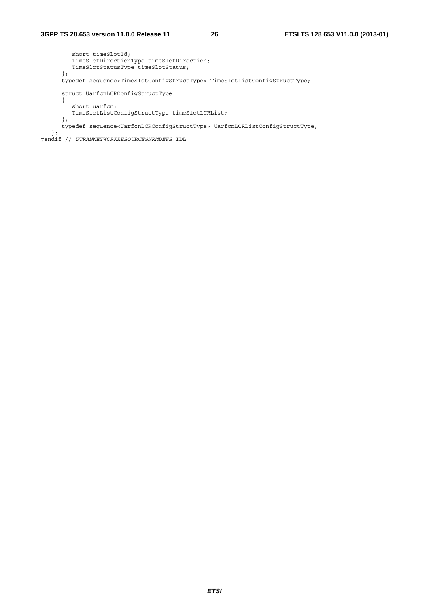```
 short timeSlotId; 
 TimeSlotDirectionType timeSlotDirection; 
 TimeSlotStatusType timeSlotStatus; 
       }; 
       typedef sequence<TimeSlotConfigStructType> TimeSlotListConfigStructType; 
       struct UarfcnLCRConfigStructType 
       { 
          short uarfcn; 
         TimeSlotListConfigStructType timeSlotLCRList; 
       }; 
      typedef sequence<UarfcnLCRConfigStructType> UarfcnLCRListConfigStructType; 
    }; 
#endif //_UTRANNETWORKRESOURCESNRMDEFS_IDL_
```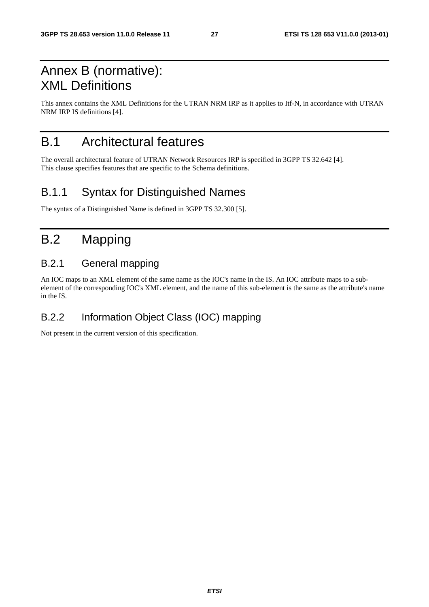# Annex B (normative): XML Definitions

This annex contains the XML Definitions for the UTRAN NRM IRP as it applies to Itf-N, in accordance with UTRAN NRM IRP IS definitions [4].

# B.1 Architectural features

The overall architectural feature of UTRAN Network Resources IRP is specified in 3GPP TS 32.642 [4]. This clause specifies features that are specific to the Schema definitions.

# B.1.1 Syntax for Distinguished Names

The syntax of a Distinguished Name is defined in 3GPP TS 32.300 [5].

# B.2 Mapping

### B.2.1 General mapping

An IOC maps to an XML element of the same name as the IOC's name in the IS. An IOC attribute maps to a subelement of the corresponding IOC's XML element, and the name of this sub-element is the same as the attribute's name in the IS.

### B.2.2 Information Object Class (IOC) mapping

Not present in the current version of this specification.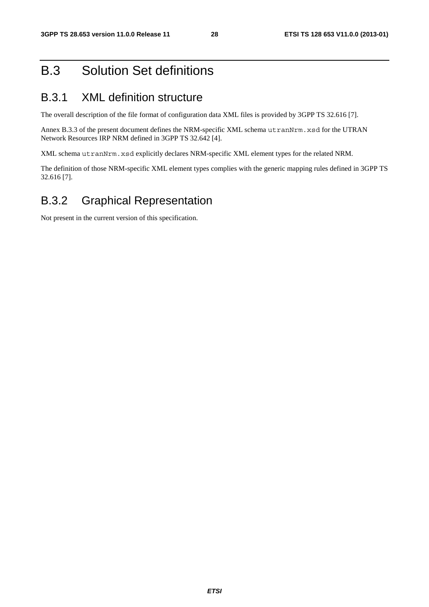# B.3 Solution Set definitions

# B.3.1 XML definition structure

The overall description of the file format of configuration data XML files is provided by 3GPP TS 32.616 [7].

Annex B.3.3 of the present document defines the NRM-specific XML schema utranNrm.xsd for the UTRAN Network Resources IRP NRM defined in 3GPP TS 32.642 [4].

XML schema utranNrm.xsd explicitly declares NRM-specific XML element types for the related NRM.

The definition of those NRM-specific XML element types complies with the generic mapping rules defined in 3GPP TS 32.616 [7].

# B.3.2 Graphical Representation

Not present in the current version of this specification.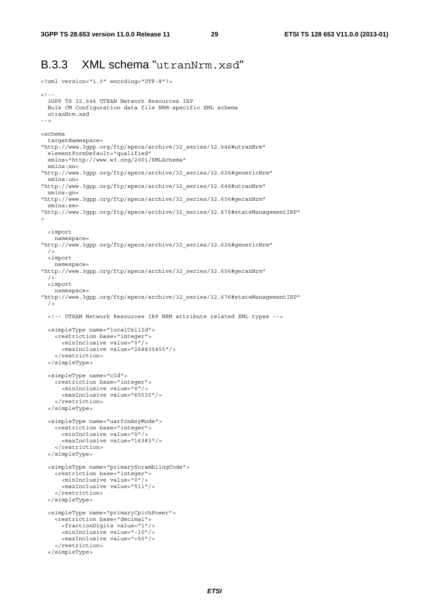<?xml version="1.0" encoding="UTF-8"?>

# B.3.3 XML schema "utranNrm.xsd"

```
> 1 - 1 3GPP TS 32.646 UTRAN Network Resources IRP 
  Bulk CM Configuration data file NRM-specific XML schema 
  utranNrm.xsd 
--> 
<schema 
   targetNamespace= 
"http://www.3gpp.org/ftp/specs/archive/32_series/32.646#utranNrm" 
   elementFormDefault="qualified" 
  xmlns="http://www.w3.org/2001/XMLSchema" 
  xmlns:xn= 
"http://www.3gpp.org/ftp/specs/archive/32_series/32.626#genericNrm" 
   xmlns:un= 
"http://www.3gpp.org/ftp/specs/archive/32_series/32.646#utranNrm" 
  xmlns:gn= 
"http://www.3gpp.org/ftp/specs/archive/32_series/32.656#geranNrm" 
   xmlns:sm= 
"http://www.3gpp.org/ftp/specs/archive/32_series/32.676#stateManagementIRP" 
> 
   <import 
     namespace= 
"http://www.3gpp.org/ftp/specs/archive/32_series/32.626#genericNrm" 
   /> 
   <import 
    namespace= 
"http://www.3gpp.org/ftp/specs/archive/32_series/32.656#geranNrm" 
 / <import 
    namespace= 
"http://www.3gpp.org/ftp/specs/archive/32_series/32.676#stateManagementIRP" 
  / <!-- UTRAN Network Resources IRP NRM attribute related XML types --> 
   <simpleType name="localCellId"> 
     <restriction base="integer"> 
       <minInclusive value="0"/> 
       <maxInclusive value="268435455"/> 
     </restriction> 
   </simpleType> 
   <simpleType name="cId"> 
     <restriction base="integer"> 
       <minInclusive value="0"/> 
       <maxInclusive value="65535"/> 
     </restriction> 
   </simpleType> 
   <simpleType name="uarfcnAnyMode"> 
     <restriction base="integer"> 
       <minInclusive value="0"/> 
       <maxInclusive value="16383"/> 
     </restriction> 
   </simpleType> 
   <simpleType name="primaryScramblingCode"> 
     <restriction base="integer"> 
       <minInclusive value="0"/> 
       <maxInclusive value="511"/> 
     </restriction> 
   </simpleType> 
   <simpleType name="primaryCpichPower"> 
     <restriction base="decimal"> 
       <fractionDigits value="1"/> 
       <minInclusive value="-10"/> 
       <maxInclusive value="+50"/> 
     </restriction> 
   </simpleType>
```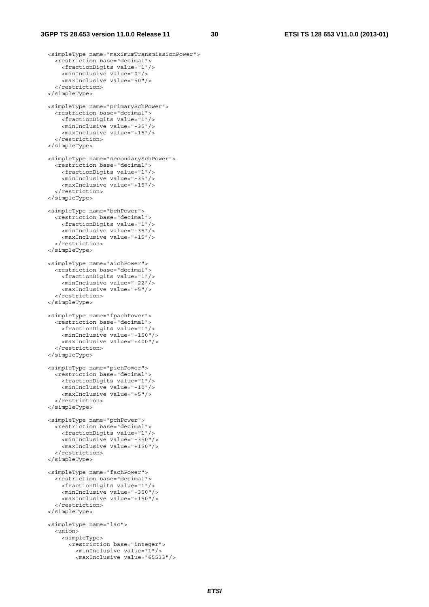```
 <simpleType name="maximumTransmissionPower"> 
   <restriction base="decimal"> 
     <fractionDigits value="1"/> 
     <minInclusive value="0"/> 
     <maxInclusive value="50"/> 
   </restriction> 
 </simpleType> 
 <simpleType name="primarySchPower"> 
   <restriction base="decimal"> 
     <fractionDigits value="1"/> 
     <minInclusive value="-35"/> 
     <maxInclusive value="+15"/> 
   </restriction> 
 </simpleType> 
 <simpleType name="secondarySchPower"> 
   <restriction base="decimal"> 
     <fractionDigits value="1"/> 
     <minInclusive value="-35"/> 
     <maxInclusive value="+15"/> 
   </restriction> 
 </simpleType> 
 <simpleType name="bchPower"> 
   <restriction base="decimal"> 
     <fractionDigits value="1"/> 
     <minInclusive value="-35"/> 
     <maxInclusive value="+15"/> 
   </restriction> 
 </simpleType> 
 <simpleType name="aichPower"> 
   <restriction base="decimal"> 
     <fractionDigits value="1"/> 
     <minInclusive value="-22"/> 
     <maxInclusive value="+5"/> 
   </restriction> 
 </simpleType> 
 <simpleType name="fpachPower"> 
   <restriction base="decimal"> 
     <fractionDigits value="1"/> 
     <minInclusive value="-150"/> 
     <maxInclusive value="+400"/> 
   </restriction> 
 </simpleType> 
 <simpleType name="pichPower"> 
   <restriction base="decimal"> 
     <fractionDigits value="1"/> 
     <minInclusive value="-10"/> 
     <maxInclusive value="+5"/> 
   </restriction> 
 </simpleType> 
 <simpleType name="pchPower"> 
   <restriction base="decimal"> 
     <fractionDigits value="1"/> 
     <minInclusive value="-350"/> 
     <maxInclusive value="+150"/> 
   </restriction> 
 </simpleType> 
 <simpleType name="fachPower"> 
   <restriction base="decimal"> 
     <fractionDigits value="1"/> 
     <minInclusive value="-350"/> 
     <maxInclusive value="+150"/> 
   </restriction> 
 </simpleType> 
 <simpleType name="lac"> 
   <union> 
     <simpleType> 
       <restriction base="integer"> 
         <minInclusive value="1"/> 
         <maxInclusive value="65533"/>
```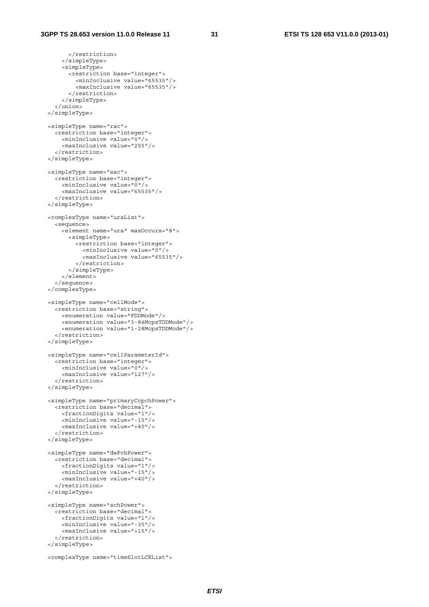```
 </restriction> 
     </simpleType> 
     <simpleType> 
       <restriction base="integer"> 
         <minInclusive value="65535"/> 
          <maxInclusive value="65535"/> 
       </restriction> 
     </simpleType> 
  \frac{1}{\epsilon}/union>
 </simpleType> 
 <simpleType name="rac"> 
   <restriction base="integer"> 
     <minInclusive value="0"/> 
     <maxInclusive value="255"/> 
   </restriction> 
 </simpleType> 
 <simpleType name="sac"> 
   <restriction base="integer"> 
     <minInclusive value="0"/> 
     <maxInclusive value="65535"/> 
   </restriction> 
 </simpleType> 
 <complexType name="uraList"> 
   <sequence> 
     <element name="ura" maxOccurs="8"> 
       <simpleType> 
         <restriction base="integer"> 
            <minInclusive value="0"/> 
            <maxInclusive value="65535"/> 
         </restriction> 
       </simpleType> 
     </element> 
   </sequence> 
 </complexType> 
 <simpleType name="cellMode"> 
   <restriction base="string"> 
     <enumeration value="FDDMode"/> 
     <enumeration value="3-84McpsTDDMode"/> 
     <enumeration value="1-28McpsTDDMode"/> 
   </restriction> 
 </simpleType> 
 <simpleType name="cellParameterId"> 
   <restriction base="integer"> 
     <minInclusive value="0"/> 
     <maxInclusive value="127"/> 
   </restriction> 
 </simpleType> 
 <simpleType name="primaryCcpchPower"> 
   <restriction base="decimal"> 
     <fractionDigits value="1"/> 
     <minInclusive value="-15"/> 
     <maxInclusive value="+40"/> 
   </restriction> 
 </simpleType> 
 <simpleType name="dwPchPower"> 
   <restriction base="decimal"> 
     <fractionDigits value="1"/> 
     <minInclusive value="-15"/> 
     <maxInclusive value="+40"/> 
   </restriction> 
 </simpleType> 
 <simpleType name="schPower"> 
   <restriction base="decimal"> 
     <fractionDigits value="1"/> 
     <minInclusive value="-35"/> 
     <maxInclusive value="+15"/> 
   </restriction> 
 </simpleType> 
 <complexType name="timeSlotLCRList">
```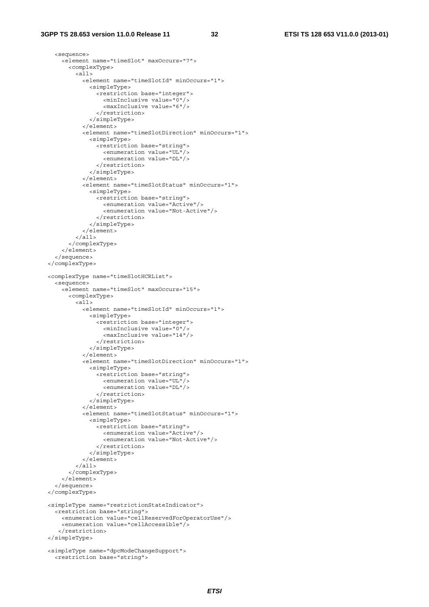```
 <sequence> 
     <element name="timeSlot" maxOccurs="7"> 
       <complexType> 
         <all> 
            <element name="timeSlotId" minOccurs="1"> 
              <simpleType> 
                <restriction base="integer"> 
                  <minInclusive value="0"/> 
                   <maxInclusive value="6"/> 
                </restriction> 
              </simpleType> 
            </element> 
            <element name="timeSlotDirection" minOccurs="1"> 
              <simpleType> 
                <restriction base="string"> 
                  <enumeration value="UL"/> 
                   <enumeration value="DL"/> 
                </restriction> 
              </simpleType> 
            </element> 
            <element name="timeSlotStatus" minOccurs="1"> 
              <simpleType> 
                <restriction base="string"> 
                  <enumeration value="Active"/> 
                   <enumeration value="Not-Active"/> 
                </restriction> 
              </simpleType> 
            </element> 
          </all> 
       </complexType> 
     </element> 
   </sequence> 
 </complexType> 
 <complexType name="timeSlotHCRList"> 
   <sequence> 
     <element name="timeSlot" maxOccurs="15"> 
       <complexType> 
         <all> 
            <element name="timeSlotId" minOccurs="1"> 
              <simpleType> 
                <restriction base="integer"> 
                   <minInclusive value="0"/> 
                   <maxInclusive value="14"/> 
                </restriction> 
              </simpleType> 
            </element> 
            <element name="timeSlotDirection" minOccurs="1"> 
              <simpleType> 
                <restriction base="string"> 
                   <enumeration value="UL"/> 
                   <enumeration value="DL"/> 
                </restriction> 
              </simpleType> 
            </element> 
            <element name="timeSlotStatus" minOccurs="1"> 
              <simpleType> 
                <restriction base="string"> 
                  <enumeration value="Active"/> 
                  <enumeration value="Not-Active"/> 
                </restriction> 
              </simpleType> 
            </element> 
          </all> 
       </complexType> 
     </element> 
   </sequence> 
 </complexType> 
 <simpleType name="restrictionStateIndicator"> 
   <restriction base="string"> 
     <enumeration value="cellReservedForOperatorUse"/> 
     <enumeration value="cellAccessible"/> 
    </restriction> 
 </simpleType> 
 <simpleType name="dpcModeChangeSupport"> 
   <restriction base="string">
```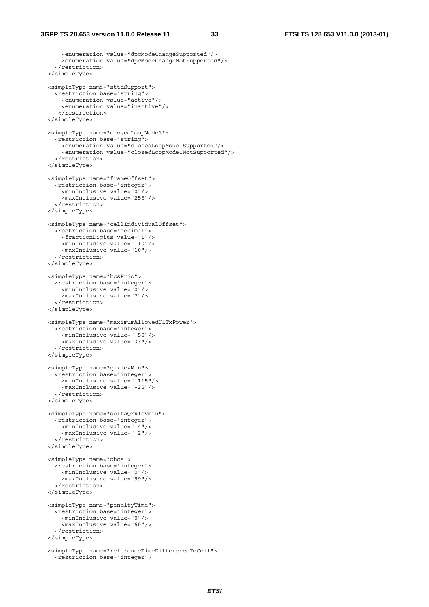```
 <enumeration value="dpcModeChangeSupported"/> 
     <enumeration value="dpcModeChangeNotSupported"/> 
   </restriction> 
 </simpleType> 
 <simpleType name="sttdSupport"> 
   <restriction base="string"> 
     <enumeration value="active"/> 
     <enumeration value="inactive"/> 
    </restriction> 
 </simpleType> 
 <simpleType name="closedLoopMode1"> 
   <restriction base="string"> 
     <enumeration value="closedLoopMode1Supported"/> 
     <enumeration value="closedLoopMode1NotSupported"/> 
   </restriction> 
 </simpleType> 
 <simpleType name="frameOffset"> 
   <restriction base="integer"> 
     <minInclusive value="0"/> 
     <maxInclusive value="255"/> 
   </restriction> 
 </simpleType> 
 <simpleType name="cellIndividualOffset"> 
   <restriction base="decimal"> 
     <fractionDigits value="1"/> 
     <minInclusive value="-10"/> 
     <maxInclusive value="10"/> 
   </restriction> 
 </simpleType> 
 <simpleType name="hcsPrio"> 
   <restriction base="integer"> 
     <minInclusive value="0"/> 
     <maxInclusive value="7"/> 
   </restriction> 
 </simpleType> 
 <simpleType name="maximumAllowedUlTxPower"> 
   <restriction base="integer"> 
     <minInclusive value="-50"/> 
     <maxInclusive value="33"/> 
   </restriction> 
 </simpleType> 
 <simpleType name="qrxlevMin"> 
   <restriction base="integer"> 
     <minInclusive value="-115"/> 
     <maxInclusive value="-25"/> 
   </restriction> 
 </simpleType> 
 <simpleType name="deltaQrxlevmin"> 
   <restriction base="integer"> 
     <minInclusive value="-4"/> 
     <maxInclusive value="-2"/> 
   </restriction> 
 </simpleType> 
 <simpleType name="qhcs"> 
   <restriction base="integer"> 
     <minInclusive value="0"/> 
     <maxInclusive value="99"/> 
   </restriction> 
 </simpleType> 
 <simpleType name="penaltyTime"> 
   <restriction base="integer"> 
     <minInclusive value="0"/> 
     <maxInclusive value="60"/> 
   </restriction> 
 </simpleType> 
 <simpleType name="referenceTimeDifferenceToCell"> 
   <restriction base="integer">
```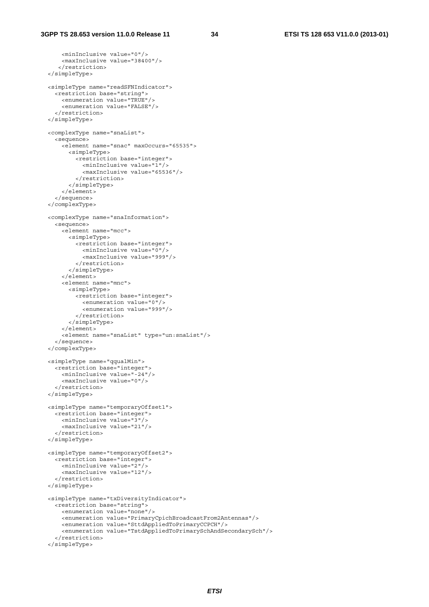```
 <minInclusive value="0"/> 
     <maxInclusive value="38400"/> 
    </restriction> 
 </simpleType> 
 <simpleType name="readSFNIndicator"> 
   <restriction base="string"> 
     <enumeration value="TRUE"/> 
     <enumeration value="FALSE"/> 
   </restriction> 
 </simpleType> 
 <complexType name="snaList"> 
   <sequence> 
     <element name="snac" maxOccurs="65535"> 
       <simpleType> 
         <restriction base="integer"> 
           <minInclusive value="1"/> 
            <maxInclusive value="65536"/> 
          </restriction> 
       </simpleType> 
     </element> 
   </sequence> 
 </complexType> 
 <complexType name="snaInformation"> 
   <sequence> 
     <element name="mcc"> 
       <simpleType> 
         <restriction base="integer"> 
           <minInclusive value="0"/> 
            <maxInclusive value="999"/> 
          </restriction> 
       </simpleType> 
     </element> 
     <element name="mnc"> 
       <simpleType> 
         <restriction base="integer"> 
           <enumeration value="0"/> 
            <enumeration value="999"/> 
          </restriction> 
       </simpleType> 
     </element> 
     <element name="snaList" type="un:snaList"/> 
   </sequence> 
 </complexType> 
 <simpleType name="qqualMin"> 
   <restriction base="integer"> 
    <minInclusive value="-24"/> 
     <maxInclusive value="0"/> 
   </restriction> 
 </simpleType> 
 <simpleType name="temporaryOffset1"> 
   <restriction base="integer"> 
     <minInclusive value="3"/> 
     <maxInclusive value="21"/> 
   </restriction> 
 </simpleType> 
 <simpleType name="temporaryOffset2"> 
  <restriction base="integer"> 
     <minInclusive value="2"/> 
     <maxInclusive value="12"/> 
   </restriction> 
 </simpleType> 
 <simpleType name="txDiversityIndicator"> 
   <restriction base="string"> 
     <enumeration value="none"/> 
     <enumeration value="PrimaryCpichBroadcastFrom2Antennas"/> 
     <enumeration value="SttdAppliedToPrimaryCCPCH"/> 
     <enumeration value="TstdAppliedToPrimarySchAndSecondarySch"/> 
   </restriction> 
 </simpleType>
```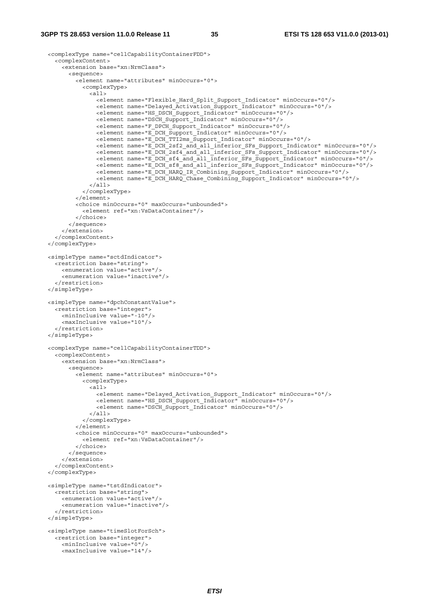```
 <complexType name="cellCapabilityContainerFDD"> 
    <complexContent> 
       <extension base="xn:NrmClass"> 
         <sequence> 
           <element name="attributes" minOccurs="0"> 
             <complexType> 
              \geq all \geq <element name="Flexible_Hard_Split_Support_Indicator" minOccurs="0"/> 
                 <element name="Delayed_Activation_Support_Indicator" minOccurs="0"/> 
                 <element name="HS_DSCH_Support_Indicator" minOccurs="0"/> 
                 <element name="DSCH_Support_Indicator" minOccurs="0"/> 
 <element name="F_DPCH_Support_Indicator" minOccurs="0"/> 
 <element name="E_DCH_Support_Indicator" minOccurs="0"/> 
                 <element name="E_DCH_TTI2ms_Support_Indicator" minOccurs="0"/> 
                 <element name="E_DCH_2sf2_and_all_inferior_SFs_Support_Indicator" minOccurs="0"/> 
                 <element name="E_DCH_2sf4_and_all_inferior_SFs_Support_Indicator" minOccurs="0"/> 
 <element name="E_DCH_sf4_and_all_inferior_SFs_Support_Indicator" minOccurs="0"/> 
 <element name="E_DCH_sf8_and_all_inferior_SFs_Support_Indicator" minOccurs="0"/> 
                 <element name="E_DCH_HARQ_IR_Combining_Support_Indicator" minOccurs="0"/> 
                 <element name="E_DCH_HARQ_Chase_Combining_Support_Indicator" minOccurs="0"/> 
               </all> 
             </complexType> 
           </element> 
           <choice minOccurs="0" maxOccurs="unbounded"> 
             <element ref="xn:VsDataContainer"/> 
           </choice> 
         </sequence> 
       </extension> 
     </complexContent> 
  </complexType> 
  <simpleType name="sctdIndicator"> 
    <restriction base="string"> 
       <enumeration value="active"/> 
       <enumeration value="inactive"/> 
     </restriction> 
  </simpleType> 
  <simpleType name="dpchConstantValue"> 
    <restriction base="integer"> 
      <minInclusive value="-10"/> 
       <maxInclusive value="10"/> 
     </restriction> 
  </simpleType> 
  <complexType name="cellCapabilityContainerTDD"> 
    <complexContent> 
       <extension base="xn:NrmClass"> 
         <sequence> 
           <element name="attributes" minOccurs="0"> 
             <complexType> 
              \leq alls
                 <element name="Delayed_Activation_Support_Indicator" minOccurs="0"/> 
                 <element name="HS_DSCH_Support_Indicator" minOccurs="0"/> 
                 <element name="DSCH_Support_Indicator" minOccurs="0"/> 
              \epsilon/all\epsilon </complexType> 
           </element> 
           <choice minOccurs="0" maxOccurs="unbounded"> 
             <element ref="xn:VsDataContainer"/> 
           </choice> 
         </sequence> 
       </extension> 
     </complexContent> 
  </complexType> 
  <simpleType name="tstdIndicator"> 
    <restriction base="string"> 
      <enumeration value="active"/> 
       <enumeration value="inactive"/> 
     </restriction> 
  </simpleType> 
  <simpleType name="timeSlotForSch"> 
     <restriction base="integer"> 
      <minInclusive value="0"/> 
      <maxInclusive value="14"/>
```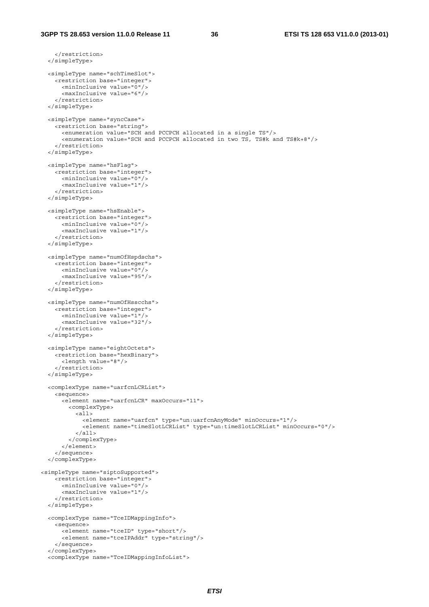```
 </restriction> 
   </simpleType> 
   <simpleType name="schTimeSlot"> 
     <restriction base="integer"> 
       <minInclusive value="0"/> 
       <maxInclusive value="6"/> 
     </restriction> 
   </simpleType> 
   <simpleType name="syncCase"> 
     <restriction base="string"> 
       <enumeration value="SCH and PCCPCH allocated in a single TS"/> 
       <enumeration value="SCH and PCCPCH allocated in two TS, TS#k and TS#k+8"/> 
     </restriction> 
   </simpleType> 
   <simpleType name="hsFlag"> 
    <restriction base="integer"> 
       <minInclusive value="0"/> 
       <maxInclusive value="1"/> 
     </restriction> 
   </simpleType> 
   <simpleType name="hsEnable"> 
     <restriction base="integer"> 
       <minInclusive value="0"/> 
       <maxInclusive value="1"/> 
     </restriction> 
   </simpleType> 
   <simpleType name="numOfHspdschs"> 
     <restriction base="integer"> 
       <minInclusive value="0"/> 
       <maxInclusive value="95"/> 
     </restriction> 
   </simpleType> 
   <simpleType name="numOfHsscchs"> 
     <restriction base="integer"> 
       <minInclusive value="1"/> 
       <maxInclusive value="32"/> 
     </restriction> 
   </simpleType> 
   <simpleType name="eightOctets"> 
     <restriction base="hexBinary"> 
       <length value="8"/> 
     </restriction> 
   </simpleType> 
   <complexType name="uarfcnLCRList"> 
     <sequence> 
       <element name="uarfcnLCR" maxOccurs="11"> 
         <complexType> 
          \overline{c} <element name="uarfcn" type="un:uarfcnAnyMode" minOccurs="1"/> 
              <element name="timeSlotLCRList" type="un:timeSlotLCRList" minOccurs="0"/> 
           \langleall\rangle </complexType> 
       </element> 
     </sequence> 
   </complexType> 
<simpleType name="siptoSupported"> 
     <restriction base="integer"> 
       <minInclusive value="0"/> 
       <maxInclusive value="1"/> 
     </restriction> 
   </simpleType> 
   <complexType name="TceIDMappingInfo"> 
     <sequence> 
       <element name="tceID" type="short"/> 
       <element name="tceIPAddr" type="string"/> 
     </sequence> 
   </complexType> 
   <complexType name="TceIDMappingInfoList">
```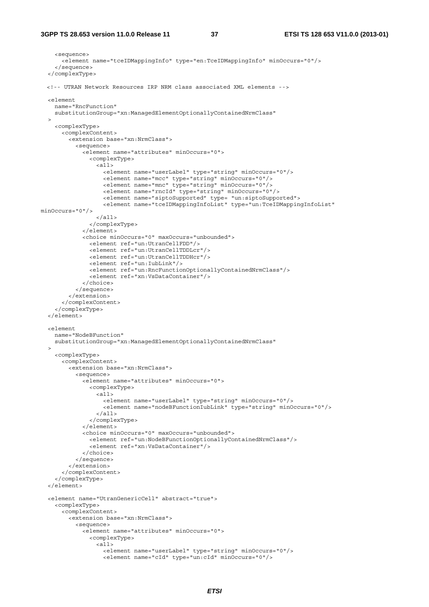```
 <sequence> 
       <element name="tceIDMappingInfo" type="en:TceIDMappingInfo" minOccurs="0"/> 
     </sequence> 
   </complexType> 
  <!-- UTRAN Network Resources IRP NRM class associated XML elements --> 
   <element 
     name="RncFunction" 
     substitutionGroup="xn:ManagedElementOptionallyContainedNrmClass" 
\rightarrow <complexType> 
       <complexContent> 
         <extension base="xn:NrmClass"> 
           <sequence> 
              <element name="attributes" minOccurs="0"> 
                <complexType> 
                  <all> 
                    <element name="userLabel" type="string" minOccurs="0"/> 
                    <element name="mcc" type="string" minOccurs="0"/> 
                    <element name="mnc" type="string" minOccurs="0"/> 
                    <element name="rncId" type="string" minOccurs="0"/> 
                    <element name="siptoSupported" type= "un:siptoSupported"> 
                   <element name="tceIDMappingInfoList" type="un:TceIDMappingInfoList"
minOccurs="0"/> 
                 \langleall\rangle </complexType> 
              </element> 
              <choice minOccurs="0" maxOccurs="unbounded"> 
                <element ref="un:UtranCellFDD"/> 
                <element ref="un:UtranCellTDDLcr"/> 
                <element ref="un:UtranCellTDDHcr"/> 
                <element ref="un:IubLink"/> 
                <element ref="un:RncFunctionOptionallyContainedNrmClass"/> 
                <element ref="xn:VsDataContainer"/> 
              </choice> 
           </sequence> 
         </extension> 
       </complexContent> 
     </complexType> 
   </element> 
   <element 
     name="NodeBFunction" 
     substitutionGroup="xn:ManagedElementOptionallyContainedNrmClass" 
   > 
     <complexType> 
       <complexContent> 
         <extension base="xn:NrmClass"> 
           <sequence> 
              <element name="attributes" minOccurs="0"> 
                <complexType> 
                  <all> 
                    <element name="userLabel" type="string" minOccurs="0"/> 
                    <element name="nodeBFunctionIubLink" type="string" minOccurs="0"/> 
                 \epsilon/all\epsilon </complexType> 
              </element> 
              <choice minOccurs="0" maxOccurs="unbounded"> 
                <element ref="un:NodeBFunctionOptionallyContainedNrmClass"/> 
                <element ref="xn:VsDataContainer"/> 
              </choice> 
            </sequence> 
         </extension> 
       </complexContent> 
     </complexType> 
   </element> 
   <element name="UtranGenericCell" abstract="true"> 
     <complexType> 
       <complexContent> 
         <extension base="xn:NrmClass"> 
           <sequence> 
              <element name="attributes" minOccurs="0"> 
                <complexType> 
                  <all> 
 <element name="userLabel" type="string" minOccurs="0"/> 
 <element name="cId" type="un:cId" minOccurs="0"/>
```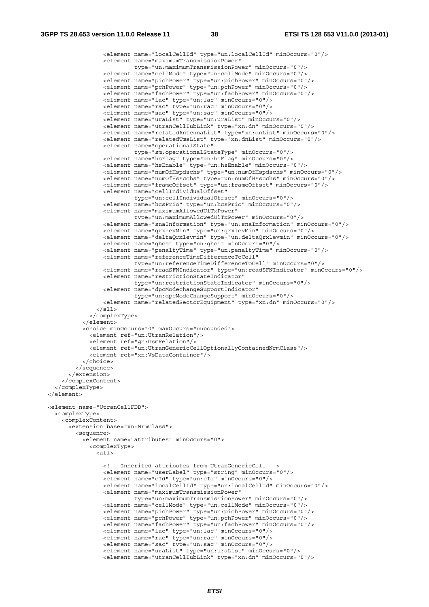```
 <element name="localCellId" type="un:localCellId" minOccurs="0"/> 
                 <element name="maximumTransmissionPower" 
                           type="un:maximumTransmissionPower" minOccurs="0"/> 
                 <element name="cellMode" type="un:cellMode" minOccurs="0"/> 
                 <element name="pichPower" type="un:pichPower" minOccurs="0"/> 
                 <element name="pchPower" type="un:pchPower" minOccurs="0"/> 
                 <element name="fachPower" type="un:fachPower" minOccurs="0"/> 
                 <element name="lac" type="un:lac" minOccurs="0"/> 
                 <element name="rac" type="un:rac" minOccurs="0"/> 
                 <element name="sac" type="un:sac" minOccurs="0"/> 
                 <element name="uraList" type="un:uraList" minOccurs="0"/> 
                 <element name="utranCellIubLink" type="xn:dn" minOccurs="0"/> 
                 <element name="relatedAntennaList" type="xn:dnList" minOccurs="0"/> 
                 <element name="relatedTmaList" type="xn:dnList" minOccurs="0"/> 
                 <element name="operationalState" 
                          type="sm:operationalStateType" minOccurs="0"/> 
                 <element name="hsFlag" type="un:hsFlag" minOccurs="0"/> 
                 <element name="hsEnable" type="un:hsEnable" minOccurs="0"/> 
                 <element name="numOfHspdschs" type="un:numOfHspdschs" minOccurs="0"/> 
                 <element name="numOfHsscchs" type="un:numOfHsscchs" minOccurs="0"/> 
                 <element name="frameOffset" type="un:frameOffset" minOccurs="0"/> 
                 <element name="cellIndividualOffset" 
                           type="un:cellIndividualOffset" minOccurs="0"/> 
                 <element name="hcsPrio" type="un:hcsPrio" minOccurs="0"/> 
                 <element name="maximumAllowedUlTxPower" 
                           type="un:maximumAllowedUlTxPower" minOccurs="0"/> 
                 <element name="snaInformation" type="un:snaInformation" minOccurs="0"/> 
                 <element name="qrxlevMin" type="un:qrxlevMin" minOccurs="0"/> 
                 <element name="deltaQrxlevmin" type="un:deltaQrxlevmin" minOccurs="0"/> 
                 <element name="qhcs" type="un:qhcs" minOccurs="0"/> 
                 <element name="penaltyTime" type="un:penaltyTime" minOccurs="0"/> 
                 <element name="referenceTimeDifferenceToCell" 
                           type="un:referenceTimeDifferenceToCell" minOccurs="0"/> 
                 <element name="readSFNIndicator" type="un:readSFNIndicator" minOccurs="0"/> 
                 <element name="restrictionStateIndicator" 
                           type="un:restrictionStateIndicator" minOccurs="0"/> 
                 <element name="dpcModechangeSupportIndicator" 
                           type="un:dpcModeChangeSupport" minOccurs="0"/> 
                 <element name="relatedSectorEquipment" type="xn:dn" minOccurs="0"/> 
              \langleall> </complexType> 
           </element> 
           <choice minOccurs="0" maxOccurs="unbounded"> 
             <element ref="un:UtranRelation"/> 
             <element ref="gn:GsmRelation"/> 
             <element ref="un:UtranGenericCellOptionallyContainedNrmClass"/> 
             <element ref="xn:VsDataContainer"/> 
           </choice> 
         </sequence> 
       </extension> 
     </complexContent> 
   </complexType> 
\geq/element\sim <element name="UtranCellFDD"> 
  <complexType> 
     <complexContent> 
       <extension base="xn:NrmClass"> 
         <sequence> 
           <element name="attributes" minOccurs="0"> 
             <complexType> 
              \overline{c} <!-- Inherited attributes from UtranGenericCell --> 
                 <element name="userLabel" type="string" minOccurs="0"/> 
                 <element name="cId" type="un:cId" minOccurs="0"/> 
                  <element name="localCellId" type="un:localCellId" minOccurs="0"/> 
                 <element name="maximumTransmissionPower" 
                           type="un:maximumTransmissionPower" minOccurs="0"/> 
                 <element name="cellMode" type="un:cellMode" minOccurs="0"/> 
                 <element name="pichPower" type="un:pichPower" minOccurs="0"/> 
                 <element name="pchPower" type="un:pchPower" minOccurs="0"/> 
                 <element name="fachPower" type="un:fachPower" minOccurs="0"/> 
                 <element name="lac" type="un:lac" minOccurs="0"/> 
                 <element name="rac" type="un:rac" minOccurs="0"/> 
                 <element name="sac" type="un:sac" minOccurs="0"/> 
                 <element name="uraList" type="un:uraList" minOccurs="0"/> 
                 <element name="utranCellIubLink" type="xn:dn" minOccurs="0"/>
```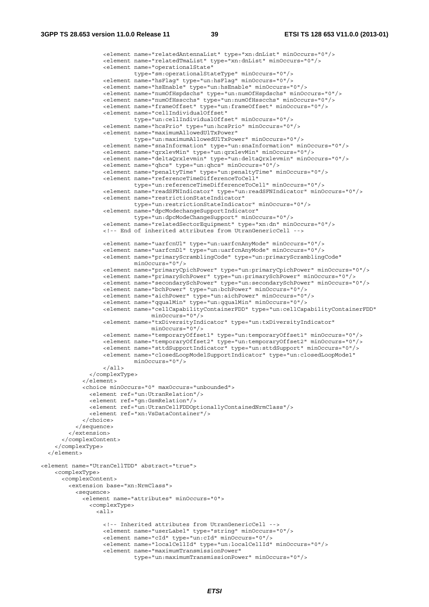```
 <element name="relatedAntennaList" type="xn:dnList" minOccurs="0"/> 
                   <element name="relatedTmaList" type="xn:dnList" minOccurs="0"/> 
                   <element name="operationalState" 
                            type="sm:operationalStateType" minOccurs="0"/> 
                   <element name="hsFlag" type="un:hsFlag" minOccurs="0"/> 
                   <element name="hsEnable" type="un:hsEnable" minOccurs="0"/> 
                   <element name="numOfHspdschs" type="un:numOfHspdschs" minOccurs="0"/> 
                   <element name="numOfHsscchs" type="un:numOfHsscchs" minOccurs="0"/> 
                   <element name="frameOffset" type="un:frameOffset" minOccurs="0"/> 
                   <element name="cellIndividualOffset" 
                            type="un:cellIndividualOffset" minOccurs="0"/> 
                   <element name="hcsPrio" type="un:hcsPrio" minOccurs="0"/> 
                   <element name="maximumAllowedUlTxPower" 
                            type="un:maximumAllowedUlTxPower" minOccurs="0"/> 
                   <element name="snaInformation" type="un:snaInformation" minOccurs="0"/> 
                   <element name="qrxlevMin" type="un:qrxlevMin" minOccurs="0"/> 
                   <element name="deltaQrxlevmin" type="un:deltaQrxlevmin" minOccurs="0"/> 
                   <element name="qhcs" type="un:qhcs" minOccurs="0"/> 
                   <element name="penaltyTime" type="un:penaltyTime" minOccurs="0"/> 
                   <element name="referenceTimeDifferenceToCell" 
                            type="un:referenceTimeDifferenceToCell" minOccurs="0"/> 
                   <element name="readSFNIndicator" type="un:readSFNIndicator" minOccurs="0"/> 
                   <element name="restrictionStateIndicator" 
                            type="un:restrictionStateIndicator" minOccurs="0"/> 
                   <element name="dpcModechangeSupportIndicator" 
                             type="un:dpcModeChangeSupport" minOccurs="0"/> 
                   <element name="relatedSectorEquipment" type="xn:dn" minOccurs="0"/> 
                   <!-- End of inherited attributes from UtranGenericCell --> 
 <element name="uarfcnUl" type="un:uarfcnAnyMode" minOccurs="0"/> 
 <element name="uarfcnDl" type="un:uarfcnAnyMode" minOccurs="0"/> 
                   <element name="primaryScramblingCode" type="un:primaryScramblingCode" 
                            minOccurs="0"/> 
                   <element name="primaryCpichPower" type="un:primaryCpichPower" minOccurs="0"/> 
                   <element name="primarySchPower" type="un:primarySchPower" minOccurs="0"/> 
                   <element name="secondarySchPower" type="un:secondarySchPower" minOccurs="0"/> 
                   <element name="bchPower" type="un:bchPower" minOccurs="0"/> 
                   <element name="aichPower" type="un:aichPower" minOccurs="0"/> 
                   <element name="qqualMin" type="un:qqualMin" minOccurs="0"/> 
                   <element name="cellCapabilityContainerFDD" type="un:cellCapabilityContainerFDD" 
                                 minOccurs="0"/> 
                   <element name="txDiversityIndicator" type="un:txDiversityIndicator" 
                                 minOccurs="0"/> 
                   <element name="temporaryOffset1" type="un:temporaryOffset1" minOccurs="0"/> 
                   <element name="temporaryOffset2" type="un:temporaryOffset2" minOccurs="0"/> 
                   <element name="sttdSupportIndicator" type="un:sttdSupport" minOccurs="0"/> 
                   <element name="closedLoopModelSupportIndicator" type="un:closedLoopMode1" 
                            minOccurs="0"/> 
                  \langleall> </complexType> 
             </element> 
             <choice minOccurs="0" maxOccurs="unbounded"> 
               <element ref="un:UtranRelation"/> 
               <element ref="gn:GsmRelation"/> 
               <element ref="un:UtranCellFDDOptionallyContainedNrmClass"/> 
               <element ref="xn:VsDataContainer"/> 
             </choice> 
           </sequence> 
         </extension> 
       </complexContent> 
     </complexType> 
   </element> 
<element name="UtranCellTDD" abstract="true"> 
     <complexType> 
       <complexContent> 
         <extension base="xn:NrmClass"> 
           <sequence> 
             <element name="attributes" minOccurs="0"> 
               <complexType> 
                 <all> 
                   <!-- Inherited attributes from UtranGenericCell --> 
                   <element name="userLabel" type="string" minOccurs="0"/> 
                   <element name="cId" type="un:cId" minOccurs="0"/> 
                   <element name="localCellId" type="un:localCellId" minOccurs="0"/> 
                   <element name="maximumTransmissionPower" 
                            type="un:maximumTransmissionPower" minOccurs="0"/>
```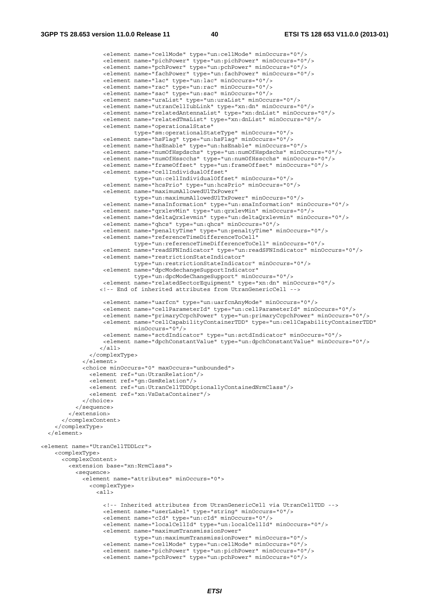```
 <element name="cellMode" type="un:cellMode" minOccurs="0"/> 
                    <element name="pichPower" type="un:pichPower" minOccurs="0"/> 
                    <element name="pchPower" type="un:pchPower" minOccurs="0"/> 
                    <element name="fachPower" type="un:fachPower" minOccurs="0"/> 
                    <element name="lac" type="un:lac" minOccurs="0"/> 
                    <element name="rac" type="un:rac" minOccurs="0"/> 
                    <element name="sac" type="un:sac" minOccurs="0"/> 
                    <element name="uraList" type="un:uraList" minOccurs="0"/> 
                    <element name="utranCellIubLink" type="xn:dn" minOccurs="0"/> 
                    <element name="relatedAntennaList" type="xn:dnList" minOccurs="0"/> 
                    <element name="relatedTmaList" type="xn:dnList" minOccurs="0"/> 
                    <element name="operationalState" 
                             type="sm:operationalStateType" minOccurs="0"/> 
                    <element name="hsFlag" type="un:hsFlag" minOccurs="0"/> 
                    <element name="hsEnable" type="un:hsEnable" minOccurs="0"/> 
                    <element name="numOfHspdschs" type="un:numOfHspdschs" minOccurs="0"/> 
                    <element name="numOfHsscchs" type="un:numOfHsscchs" minOccurs="0"/> 
                    <element name="frameOffset" type="un:frameOffset" minOccurs="0"/> 
                    <element name="cellIndividualOffset" 
                             type="un:cellIndividualOffset" minOccurs="0"/> 
                    <element name="hcsPrio" type="un:hcsPrio" minOccurs="0"/> 
                    <element name="maximumAllowedUlTxPower" 
                             type="un:maximumAllowedUlTxPower" minOccurs="0"/> 
                    <element name="snaInformation" type="un:snaInformation" minOccurs="0"/> 
                    <element name="qrxlevMin" type="un:qrxlevMin" minOccurs="0"/> 
                    <element name="deltaQrxlevmin" type="un:deltaQrxlevmin" minOccurs="0"/> 
                    <element name="qhcs" type="un:qhcs" minOccurs="0"/> 
                    <element name="penaltyTime" type="un:penaltyTime" minOccurs="0"/> 
                    <element name="referenceTimeDifferenceToCell" 
                             type="un:referenceTimeDifferenceToCell" minOccurs="0"/> 
                    <element name="readSFNIndicator" type="un:readSFNIndicator" minOccurs="0"/> 
                    <element name="restrictionStateIndicator" 
                             type="un:restrictionStateIndicator" minOccurs="0"/> 
                    <element name="dpcModechangeSupportIndicator" 
                             type="un:dpcModeChangeSupport" minOccurs="0"/> 
                    <element name="relatedSectorEquipment" type="xn:dn" minOccurs="0"/> 
                   <!-- End of inherited attributes from UtranGenericCell --> 
                    <element name="uarfcn" type="un:uarfcnAnyMode" minOccurs="0"/> 
                    <element name="cellParameterId" type="un:cellParameterId" minOccurs="0"/> 
                    <element name="primaryCcpchPower" type="un:primaryCcpchPower" minOccurs="0"/> 
                    <element name="cellCapabilityContainerTDD" type="un:cellCapabilityContainerTDD" 
                             minOccurs="0"/> 
                    <element name="sctdIndicator" type="un:sctdIndicator" minOccurs="0"/> 
                    <element name="dpchConstantValue" type="un:dpchConstantValue" minOccurs="0"/> 
                   </all> 
               </complexType> 
             </element> 
             <choice minOccurs="0" maxOccurs="unbounded"> 
               <element ref="un:UtranRelation"/> 
               <element ref="gn:GsmRelation"/> 
               <element ref="un:UtranCellTDDOptionallyContainedNrmClass"/> 
               <element ref="xn:VsDataContainer"/> 
             </choice> 
           </sequence> 
         </extension> 
       </complexContent> 
     </complexType> 
   </element> 
<element name="UtranCellTDDLcr"> 
     <complexType> 
       <complexContent> 
         <extension base="xn:NrmClass"> 
           <sequence> 
             <element name="attributes" minOccurs="0"> 
               <complexType> 
                \overline{c}all\overline{c} <!-- Inherited attributes from UtranGenericCell via UtranCellTDD --> 
                    <element name="userLabel" type="string" minOccurs="0"/> 
                    <element name="cId" type="un:cId" minOccurs="0"/> 
                    <element name="localCellId" type="un:localCellId" minOccurs="0"/> 
                    <element name="maximumTransmissionPower" 
                             type="un:maximumTransmissionPower" minOccurs="0"/> 
                    <element name="cellMode" type="un:cellMode" minOccurs="0"/> 
                    <element name="pichPower" type="un:pichPower" minOccurs="0"/> 
                    <element name="pchPower" type="un:pchPower" minOccurs="0"/>
```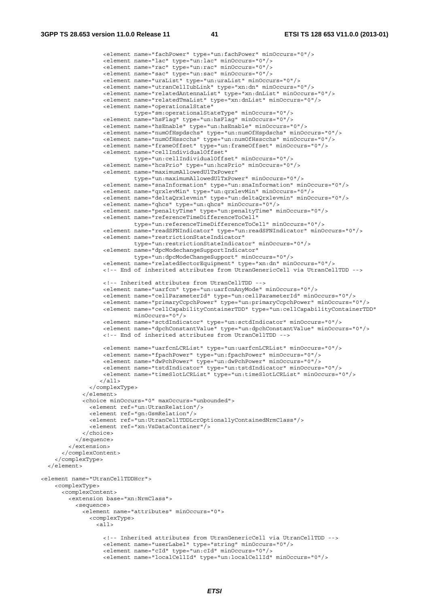<element name="fachPower" type="un:fachPower" minOccurs="0"/> <element name="lac" type="un:lac" minOccurs="0"/> <element name="rac" type="un:rac" minOccurs="0"/> <element name="sac" type="un:sac" minOccurs="0"/> <element name="uraList" type="un:uraList" minOccurs="0"/> <element name="utranCellIubLink" type="xn:dn" minOccurs="0"/> <element name="relatedAntennaList" type="xn:dnList" minOccurs="0"/> <element name="relatedTmaList" type="xn:dnList" minOccurs="0"/> <element name="operationalState" type="sm:operationalStateType" minOccurs="0"/> <element name="hsFlag" type="un:hsFlag" minOccurs="0"/> <element name="hsEnable" type="un:hsEnable" minOccurs="0"/> <element name="numOfHspdschs" type="un:numOfHspdschs" minOccurs="0"/> <element name="numOfHsscchs" type="un:numOfHsscchs" minOccurs="0"/> <element name="frameOffset" type="un:frameOffset" minOccurs="0"/> <element name="cellIndividualOffset" type="un:cellIndividualOffset" minOccurs="0"/> <element name="hcsPrio" type="un:hcsPrio" minOccurs="0"/> <element name="maximumAllowedUlTxPower" type="un:maximumAllowedUlTxPower" minOccurs="0"/> <element name="snaInformation" type="un:snaInformation" minOccurs="0"/> <element name="qrxlevMin" type="un:qrxlevMin" minOccurs="0"/> <element name="deltaQrxlevmin" type="un:deltaQrxlevmin" minOccurs="0"/> <element name="qhcs" type="un:qhcs" minOccurs="0"/> <element name="penaltyTime" type="un:penaltyTime" minOccurs="0"/> <element name="referenceTimeDifferenceToCell" type="un:referenceTimeDifferenceToCell" minOccurs="0"/> <element name="readSFNIndicator" type="un:readSFNIndicator" minOccurs="0"/> <element name="restrictionStateIndicator" type="un:restrictionStateIndicator" minOccurs="0"/> <element name="dpcModechangeSupportIndicator" type="un:dpcModeChangeSupport" minOccurs="0"/> <element name="relatedSectorEquipment" type="xn:dn" minOccurs="0"/> <!-- End of inherited attributes from UtranGenericCell via UtranCellTDD --> <!-- Inherited attributes from UtranCellTDD --> <element name="uarfcn" type="un:uarfcnAnyMode" minOccurs="0"/> <element name="cellParameterId" type="un:cellParameterId" minOccurs="0"/> <element name="primaryCcpchPower" type="un:primaryCcpchPower" minOccurs="0"/> <element name="cellCapabilityContainerTDD" type="un:cellCapabilityContainerTDD" minOccurs="0"/> <element name="sctdIndicator" type="un:sctdIndicator" minOccurs="0"/> <element name="dpchConstantValue" type="un:dpchConstantValue" minOccurs="0"/> <!-- End of inherited attributes from UtranCellTDD --> <element name="uarfcnLCRList" type="un:uarfcnLCRList" minOccurs="0"/> <element name="fpachPower" type="un:fpachPower" minOccurs="0"/> <element name="dwPchPower" type="un:dwPchPower" minOccurs="0"/> <element name="tstdIndicator" type="un:tstdIndicator" minOccurs="0"/> <element name="timeSlotLCRList" type="un:timeSlotLCRList" minOccurs="0"/>  $\langle$ all $\rangle$  </complexType> </element> <choice minOccurs="0" maxOccurs="unbounded"> <element ref="un:UtranRelation"/> <element ref="gn:GsmRelation"/> <element ref="un:UtranCellTDDLcrOptionallyContainedNrmClass"/> <element ref="xn:VsDataContainer"/> </choice> </sequence> </extension> </complexContent> </complexType> </element> <element name="UtranCellTDDHcr"> <complexType> <complexContent> <extension base="xn:NrmClass"> <sequence> <element name="attributes" minOccurs="0"> <complexType>  $\overline{c}$  <!-- Inherited attributes from UtranGenericCell via UtranCellTDD --> <element name="userLabel" type="string" minOccurs="0"/> <element name="cId" type="un:cId" minOccurs="0"/> <element name="localCellId" type="un:localCellId" minOccurs="0"/>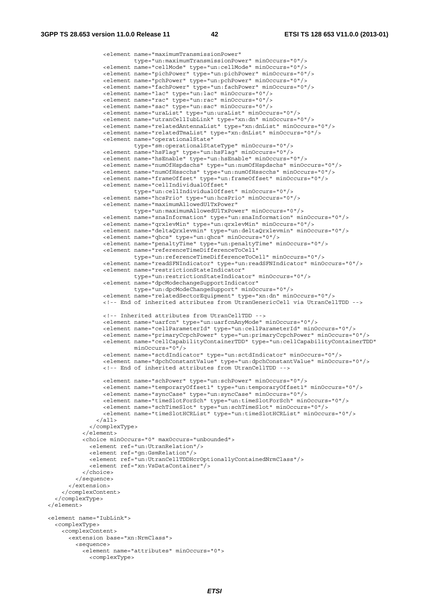```
 <element name="maximumTransmissionPower" 
                            type="un:maximumTransmissionPower" minOccurs="0"/> 
                   <element name="cellMode" type="un:cellMode" minOccurs="0"/> 
                   <element name="pichPower" type="un:pichPower" minOccurs="0"/> 
                   <element name="pchPower" type="un:pchPower" minOccurs="0"/> 
                   <element name="fachPower" type="un:fachPower" minOccurs="0"/> 
                   <element name="lac" type="un:lac" minOccurs="0"/> 
                   <element name="rac" type="un:rac" minOccurs="0"/> 
                   <element name="sac" type="un:sac" minOccurs="0"/> 
                   <element name="uraList" type="un:uraList" minOccurs="0"/> 
                   <element name="utranCellIubLink" type="xn:dn" minOccurs="0"/> 
                   <element name="relatedAntennaList" type="xn:dnList" minOccurs="0"/> 
                   <element name="relatedTmaList" type="xn:dnList" minOccurs="0"/> 
                   <element name="operationalState" 
                            type="sm:operationalStateType" minOccurs="0"/> 
                   <element name="hsFlag" type="un:hsFlag" minOccurs="0"/> 
                   <element name="hsEnable" type="un:hsEnable" minOccurs="0"/> 
                   <element name="numOfHspdschs" type="un:numOfHspdschs" minOccurs="0"/> 
                   <element name="numOfHsscchs" type="un:numOfHsscchs" minOccurs="0"/> 
                   <element name="frameOffset" type="un:frameOffset" minOccurs="0"/> 
                   <element name="cellIndividualOffset" 
                            type="un:cellIndividualOffset" minOccurs="0"/> 
                   <element name="hcsPrio" type="un:hcsPrio" minOccurs="0"/> 
                   <element name="maximumAllowedUlTxPower" 
                            type="un:maximumAllowedUlTxPower" minOccurs="0"/> 
                   <element name="snaInformation" type="un:snaInformation" minOccurs="0"/> 
                   <element name="qrxlevMin" type="un:qrxlevMin" minOccurs="0"/> 
                   <element name="deltaQrxlevmin" type="un:deltaQrxlevmin" minOccurs="0"/> 
                   <element name="qhcs" type="un:qhcs" minOccurs="0"/> 
                   <element name="penaltyTime" type="un:penaltyTime" minOccurs="0"/> 
                   <element name="referenceTimeDifferenceToCell" 
                            type="un:referenceTimeDifferenceToCell" minOccurs="0"/> 
                   <element name="readSFNIndicator" type="un:readSFNIndicator" minOccurs="0"/> 
                   <element name="restrictionStateIndicator" 
                            type="un:restrictionStateIndicator" minOccurs="0"/> 
                   <element name="dpcModechangeSupportIndicator" 
                            type="un:dpcModeChangeSupport" minOccurs="0"/> 
                   <element name="relatedSectorEquipment" type="xn:dn" minOccurs="0"/> 
                   <!-- End of inherited attributes from UtranGenericCell via UtranCellTDD --> 
                   <!-- Inherited attributes from UtranCellTDD --> 
                   <element name="uarfcn" type="un:uarfcnAnyMode" minOccurs="0"/> 
                   <element name="cellParameterId" type="un:cellParameterId" minOccurs="0"/> 
                   <element name="primaryCcpchPower" type="un:primaryCcpchPower" minOccurs="0"/> 
                   <element name="cellCapabilityContainerTDD" type="un:cellCapabilityContainerTDD" 
                           minOccurs="0"/> 
                   <element name="sctdIndicator" type="un:sctdIndicator" minOccurs="0"/> 
                   <element name="dpchConstantValue" type="un:dpchConstantValue" minOccurs="0"/> 
                   <!-- End of inherited attributes from UtranCellTDD --> 
                   <element name="schPower" type="un:schPower" minOccurs="0"/> 
                   <element name="temporaryOffset1" type="un:temporaryOffset1" minOccurs="0"/> 
 <element name="syncCase" type="un:syncCase" minOccurs="0"/> 
 <element name="timeSlotForSch" type="un:timeSlotForSch" minOccurs="0"/> 
                   <element name="schTimeSlot" type="un:schTimeSlot" minOccurs="0"/> 
                   <element name="timeSlotHCRList" type="un:timeSlotHCRList" minOccurs="0"/> 
                \langleall> </complexType> 
             </element> 
             <choice minOccurs="0" maxOccurs="unbounded"> 
               <element ref="un:UtranRelation"/> 
               <element ref="gn:GsmRelation"/> 
               <element ref="un:UtranCellTDDHcrOptionallyContainedNrmClass"/> 
               <element ref="xn:VsDataContainer"/> 
             </choice> 
           </sequence> 
         </extension> 
       </complexContent> 
    </complexType> 
  </element> 
  <element name="IubLink"> 
    <complexType> 
      <complexContent> 
         <extension base="xn:NrmClass"> 
           <sequence> 
             <element name="attributes" minOccurs="0"> 
               <complexType>
```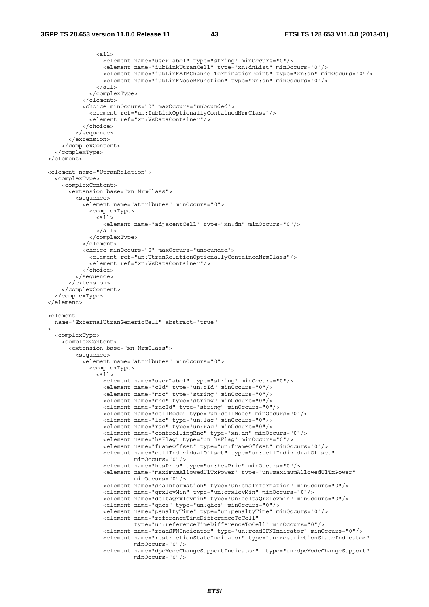```
 <all> 
                  <element name="userLabel" type="string" minOccurs="0"/> 
                  <element name="iubLinkUtranCell" type="xn:dnList" minOccurs="0"/> 
                  <element name="iubLinkATMChannelTerminationPoint" type="xn:dn" minOccurs="0"/> 
                  <element name="iubLinkNodeBFunction" type="xn:dn" minOccurs="0"/> 
               \langleall\rangle </complexType> 
           </element> 
           <choice minOccurs="0" maxOccurs="unbounded"> 
              <element ref="un:IubLinkOptionallyContainedNrmClass"/> 
              <element ref="xn:VsDataContainer"/> 
           </choice> 
         </sequence> 
       </extension> 
     </complexContent> 
   </complexType> 
 </element> 
 <element name="UtranRelation"> 
   <complexType> 
     <complexContent> 
       <extension base="xn:NrmClass"> 
         <sequence> 
           <element name="attributes" minOccurs="0"> 
             <complexType> 
                <all> 
                  <element name="adjacentCell" type="xn:dn" minOccurs="0"/> 
               \epsilon/all> </complexType> 
          \ge/element\sim <choice minOccurs="0" maxOccurs="unbounded"> 
             <element ref="un:UtranRelationOptionallyContainedNrmClass"/> 
              <element ref="xn:VsDataContainer"/> 
           </choice> 
         </sequence> 
       </extension> 
     </complexContent> 
   </complexType> 
 </element> 
 <element 
  name="ExternalUtranGenericCell" abstract="true" 
\sim <complexType> 
     <complexContent> 
       <extension base="xn:NrmClass"> 
         <sequence> 
           <element name="attributes" minOccurs="0"> 
              <complexType> 
               \overline{all} <element name="userLabel" type="string" minOccurs="0"/> 
                  <element name="cId" type="un:cId" minOccurs="0"/> 
                  <element name="mcc" type="string" minOccurs="0"/> 
                  <element name="mnc" type="string" minOccurs="0"/> 
                  <element name="rncId" type="string" minOccurs="0"/> 
                  <element name="cellMode" type="un:cellMode" minOccurs="0"/> 
                  <element name="lac" type="un:lac" minOccurs="0"/> 
                  <element name="rac" type="un:rac" minOccurs="0"/> 
                  <element name="controllingRnc" type="xn:dn" minOccurs="0"/> 
                  <element name="hsFlag" type="un:hsFlag" minOccurs="0"/> 
                  <element name="frameOffset" type="un:frameOffset" minOccurs="0"/> 
                  <element name="cellIndividualOffset" type="un:cellIndividualOffset" 
                          minOccurs="0"/> 
                  <element name="hcsPrio" type="un:hcsPrio" minOccurs="0"/> 
                  <element name="maximumAllowedUlTxPower" type="un:maximumAllowedUlTxPower" 
                           minOccurs="0"/> 
                  <element name="snaInformation" type="un:snaInformation" minOccurs="0"/> 
                  <element name="qrxlevMin" type="un:qrxlevMin" minOccurs="0"/> 
                  <element name="deltaQrxlevmin" type="un:deltaQrxlevmin" minOccurs="0"/> 
                  <element name="qhcs" type="un:qhcs" minOccurs="0"/> 
                  <element name="penaltyTime" type="un:penaltyTime" minOccurs="0"/> 
                  <element name="referenceTimeDifferenceToCell" 
                           type="un:referenceTimeDifferenceToCell" minOccurs="0"/> 
                  <element name="readSFNIndicator" type="un:readSFNIndicator" minOccurs="0"/> 
                  <element name="restrictionStateIndicator" type="un:restrictionStateIndicator" 
                           minOccurs="0"/> 
                  <element name="dpcModeChangeSupportIndicator" type="un:dpcModeChangeSupport" 
                           minOccurs="0"/>
```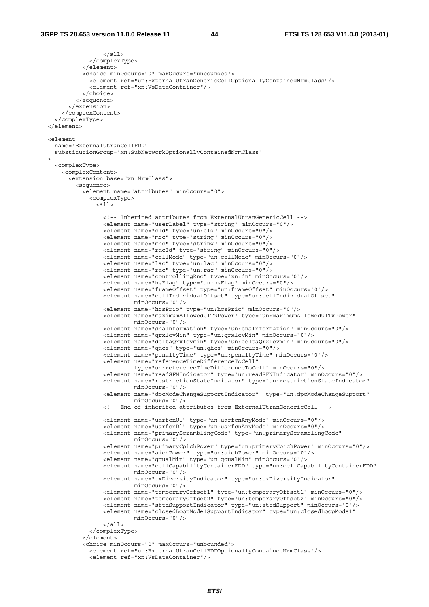```
\langleall> </complexType> 
             </element> 
             <choice minOccurs="0" maxOccurs="unbounded"> 
               <element ref="un:ExternalUtranGenericCellOptionallyContainedNrmClass"/> 
               <element ref="xn:VsDataContainer"/> 
            \alpha </sequence> 
         </extension> 
       </complexContent> 
     </complexType> 
  </element> 
  <element 
    name="ExternalUtranCellFDD" 
    substitutionGroup="xn:SubNetworkOptionallyContainedNrmClass" 
\rightarrow <complexType> 
       <complexContent> 
         <extension base="xn:NrmClass"> 
           <sequence> 
             <element name="attributes" minOccurs="0"> 
               <complexType> 
                 <all> 
                   <!-- Inherited attributes from ExternalUtranGenericCell --> 
                   <element name="userLabel" type="string" minOccurs="0"/> 
                   <element name="cId" type="un:cId" minOccurs="0"/> 
                   <element name="mcc" type="string" minOccurs="0"/> 
                   <element name="mnc" type="string" minOccurs="0"/> 
                   <element name="rncId" type="string" minOccurs="0"/> 
                   <element name="cellMode" type="un:cellMode" minOccurs="0"/> 
                   <element name="lac" type="un:lac" minOccurs="0"/> 
                   <element name="rac" type="un:rac" minOccurs="0"/> 
                   <element name="controllingRnc" type="xn:dn" minOccurs="0"/> 
                   <element name="hsFlag" type="un:hsFlag" minOccurs="0"/> 
                   <element name="frameOffset" type="un:frameOffset" minOccurs="0"/> 
                   <element name="cellIndividualOffset" type="un:cellIndividualOffset" 
                            minOccurs="0"/> 
                   <element name="hcsPrio" type="un:hcsPrio" minOccurs="0"/> 
                   <element name="maximumAllowedUlTxPower" type="un:maximumAllowedUlTxPower" 
                            minOccurs="0"/> 
                   <element name="snaInformation" type="un:snaInformation" minOccurs="0"/> 
                   <element name="qrxlevMin" type="un:qrxlevMin" minOccurs="0"/> 
                   <element name="deltaQrxlevmin" type="un:deltaQrxlevmin" minOccurs="0"/> 
                   <element name="qhcs" type="un:qhcs" minOccurs="0"/> 
                   <element name="penaltyTime" type="un:penaltyTime" minOccurs="0"/> 
                   <element name="referenceTimeDifferenceToCell" 
                             type="un:referenceTimeDifferenceToCell" minOccurs="0"/> 
                   <element name="readSFNIndicator" type="un:readSFNIndicator" minOccurs="0"/> 
                   <element name="restrictionStateIndicator" type="un:restrictionStateIndicator" 
                            minOccurs="0"/> 
                   <element name="dpcModeChangeSupportIndicator" type="un:dpcModeChangeSupport" 
                             minOccurs="0"/> 
                   <!-- End of inherited attributes from ExternalUtranGenericCell --> 
                   <element name="uarfcnUl" type="un:uarfcnAnyMode" minOccurs="0"/> 
                   <element name="uarfcnDl" type="un:uarfcnAnyMode" minOccurs="0"/> 
                   <element name="primaryScramblingCode" type="un:primaryScramblingCode" 
                           minOccurs="0"/>
                   <element name="primaryCpichPower" type="un:primaryCpichPower" minOccurs="0"/> 
                   <element name="aichPower" type="un:aichPower" minOccurs="0"/> 
                   <element name="qqualMin" type="un:qqualMin" minOccurs="0"/> 
                   <element name="cellCapabilityContainerFDD" type="un:cellCapabilityContainerFDD" 
                           minOc^{max} = "0" /s <element name="txDiversityIndicator" type="un:txDiversityIndicator" 
                             minOccurs="0"/> 
                   <element name="temporaryOffset1" type="un:temporaryOffset1" minOccurs="0"/> 
                   <element name="temporaryOffset2" type="un:temporaryOffset2" minOccurs="0"/> 
                   <element name="sttdSupportIndicator" type="un:sttdSupport" minOccurs="0"/> 
                   <element name="closedLoopMode1SupportIndicator" type="un:closedLoopMode1" 
                            minOccurs="0"/> 
                  \langleall\rangle </complexType> 
             </element> 
             <choice minOccurs="0" maxOccurs="unbounded"> 
               <element ref="un:ExternalUtranCellFDDOptionallyContainedNrmClass"/> 
               <element ref="xn:VsDataContainer"/>
```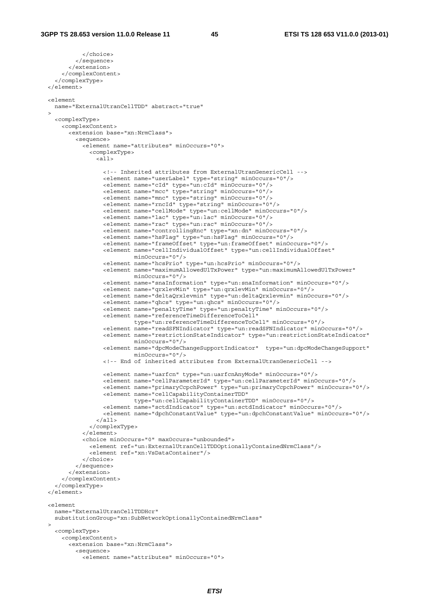```
 </choice> 
           </sequence> 
         </extension> 
       </complexContent> 
     </complexType> 
   </element> 
  <element 
    name="ExternalUtranCellTDD" abstract="true" 
\rightarrow <complexType> 
       <complexContent> 
         <extension base="xn:NrmClass"> 
           <sequence> 
             <element name="attributes" minOccurs="0"> 
               <complexType> 
                \leq alls
                   <!-- Inherited attributes from ExternalUtranGenericCell --> 
                   <element name="userLabel" type="string" minOccurs="0"/> 
                   <element name="cId" type="un:cId" minOccurs="0"/> 
                   <element name="mcc" type="string" minOccurs="0"/> 
                   <element name="mnc" type="string" minOccurs="0"/> 
                   <element name="rncId" type="string" minOccurs="0"/> 
                   <element name="cellMode" type="un:cellMode" minOccurs="0"/> 
                   <element name="lac" type="un:lac" minOccurs="0"/> 
                   <element name="rac" type="un:rac" minOccurs="0"/> 
                   <element name="controllingRnc" type="xn:dn" minOccurs="0"/> 
                   <element name="hsFlag" type="un:hsFlag" minOccurs="0"/> 
                   <element name="frameOffset" type="un:frameOffset" minOccurs="0"/> 
                   <element name="cellIndividualOffset" type="un:cellIndividualOffset" 
                            minOccurs="0"/> 
                   <element name="hcsPrio" type="un:hcsPrio" minOccurs="0"/> 
                   <element name="maximumAllowedUlTxPower" type="un:maximumAllowedUlTxPower" 
                            minOccurs="0"/> 
                   <element name="snaInformation" type="un:snaInformation" minOccurs="0"/> 
                   <element name="qrxlevMin" type="un:qrxlevMin" minOccurs="0"/> 
                   <element name="deltaQrxlevmin" type="un:deltaQrxlevmin" minOccurs="0"/> 
                   <element name="qhcs" type="un:qhcs" minOccurs="0"/> 
                   <element name="penaltyTime" type="un:penaltyTime" minOccurs="0"/> 
                   <element name="referenceTimeDifferenceToCell" 
                             type="un:referenceTimeDifferenceToCell" minOccurs="0"/> 
                   <element name="readSFNIndicator" type="un:readSFNIndicator" minOccurs="0"/> 
                   <element name="restrictionStateIndicator" type="un:restrictionStateIndicator" 
                            minOccurs="0"/> 
                   <element name="dpcModeChangeSupportIndicator" type="un:dpcModeChangeSupport" 
                             minOccurs="0"/> 
                   <!-- End of inherited attributes from ExternalUtranGenericCell --> 
                   <element name="uarfcn" type="un:uarfcnAnyMode" minOccurs="0"/> 
                   <element name="cellParameterId" type="un:cellParameterId" minOccurs="0"/> 
                   <element name="primaryCcpchPower" type="un:primaryCcpchPower" minOccurs="0"/> 
                   <element name="cellCapabilityContainerTDD" 
                             type="un:cellCapabilityContainerTDD" minOccurs="0"/> 
                   <element name="sctdIndicator" type="un:sctdIndicator" minOccurs="0"/> 
                   <element name="dpchConstantValue" type="un:dpchConstantValue" minOccurs="0"/> 
                \langleall> </complexType> 
             </element> 
             <choice minOccurs="0" maxOccurs="unbounded"> 
               <element ref="un:ExternalUtranCellTDDOptionallyContainedNrmClass"/> 
               <element ref="xn:VsDataContainer"/> 
             </choice> 
           </sequence> 
         </extension> 
       </complexContent> 
     </complexType> 
  </element> 
  <element 
    name="ExternalUtranCellTDDHcr" 
    substitutionGroup="xn:SubNetworkOptionallyContainedNrmClass" 
\rightarrow <complexType> 
      <complexContent> 
         <extension base="xn:NrmClass"> 
           <sequence> 
             <element name="attributes" minOccurs="0">
```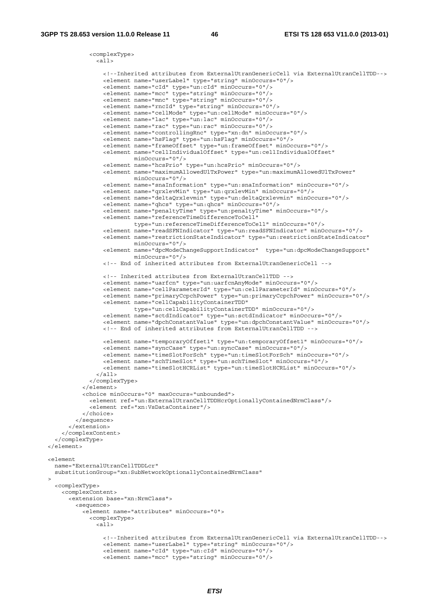```
 <complexType> 
                <sub>all></sub></sub>
                   <!--Inherited attributes from ExternalUtranGenericCell via ExternalUtranCellTDD--> 
                   <element name="userLabel" type="string" minOccurs="0"/> 
                   <element name="cId" type="un:cId" minOccurs="0"/> 
 <element name="mcc" type="string" minOccurs="0"/> 
 <element name="mnc" type="string" minOccurs="0"/> 
                   <element name="rncId" type="string" minOccurs="0"/> 
                   <element name="cellMode" type="un:cellMode" minOccurs="0"/> 
                   <element name="lac" type="un:lac" minOccurs="0"/> 
                   <element name="rac" type="un:rac" minOccurs="0"/> 
                   <element name="controllingRnc" type="xn:dn" minOccurs="0"/> 
                   <element name="hsFlag" type="un:hsFlag" minOccurs="0"/> 
                   <element name="frameOffset" type="un:frameOffset" minOccurs="0"/> 
                   <element name="cellIndividualOffset" type="un:cellIndividualOffset" 
 minOccurs="0"/> 
 <element name="hcsPrio" type="un:hcsPrio" minOccurs="0"/> 
                   <element name="maximumAllowedUlTxPower" type="un:maximumAllowedUlTxPower" 
                            minOccurs="0"/> 
                   <element name="snaInformation" type="un:snaInformation" minOccurs="0"/> 
                   <element name="qrxlevMin" type="un:qrxlevMin" minOccurs="0"/> 
                   <element name="deltaQrxlevmin" type="un:deltaQrxlevmin" minOccurs="0"/> 
                   <element name="qhcs" type="un:qhcs" minOccurs="0"/> 
                   <element name="penaltyTime" type="un:penaltyTime" minOccurs="0"/> 
                   <element name="referenceTimeDifferenceToCell" 
                           type="un:referenceTimeDifferenceToCell" minOccurs="0"/> 
                   <element name="readSFNIndicator" type="un:readSFNIndicator" minOccurs="0"/> 
                   <element name="restrictionStateIndicator" type="un:restrictionStateIndicator" 
                            minOccurs="0"/> 
                   <element name="dpcModeChangeSupportIndicator" type="un:dpcModeChangeSupport" 
                            minOccurs="0"/> 
                   <!-- End of inherited attributes from ExternalUtranGenericCell --> 
                   <!-- Inherited attributes from ExternalUtranCellTDD --> 
                   <element name="uarfcn" type="un:uarfcnAnyMode" minOccurs="0"/> 
 <element name="cellParameterId" type="un:cellParameterId" minOccurs="0"/> 
 <element name="primaryCcpchPower" type="un:primaryCcpchPower" minOccurs="0"/> 
                   <element name="cellCapabilityContainerTDD" 
                            type="un:cellCapabilityContainerTDD" minOccurs="0"/> 
                   <element name="sctdIndicator" type="un:sctdIndicator" minOccurs="0"/> 
                   <element name="dpchConstantValue" type="un:dpchConstantValue" minOccurs="0"/> 
                   <!-- End of inherited attributes from ExternalUtranCellTDD --> 
                   <element name="temporaryOffset1" type="un:temporaryOffset1" minOccurs="0"/> 
                   <element name="syncCase" type="un:syncCase" minOccurs="0"/> 
                   <element name="timeSlotForSch" type="un:timeSlotForSch" minOccurs="0"/> 
                   <element name="schTimeSlot" type="un:schTimeSlot" minOccurs="0"/> 
                   <element name="timeSlotHCRList" type="un:timeSlotHCRList" minOccurs="0"/> 
                \langleall> </complexType> 
            \epsilon/element>
             <choice minOccurs="0" maxOccurs="unbounded"> 
               <element ref="un:ExternalUtranCellTDDHcrOptionallyContainedNrmClass"/> 
               <element ref="xn:VsDataContainer"/> 
             </choice> 
           </sequence> 
        </extension> 
      </complexContent> 
    </complexType> 
  </element> 
  <element 
    name="ExternalUtranCellTDDLcr" 
    substitutionGroup="xn:SubNetworkOptionallyContainedNrmClass" 
\rightarrow <complexType> 
      <complexContent> 
        <extension base="xn:NrmClass"> 
          <sequence> 
            <element name="attributes" minOccurs="0"> 
              <complexType> 
                 <all> 
                   <!--Inherited attributes from ExternalUtranGenericCell via ExternalUtranCellTDD--> 
                   <element name="userLabel" type="string" minOccurs="0"/> 
                   <element name="cId" type="un:cId" minOccurs="0"/> 
                   <element name="mcc" type="string" minOccurs="0"/>
```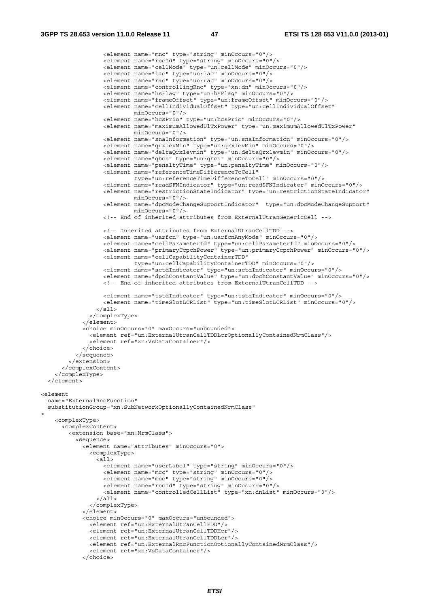```
 <element name="mnc" type="string" minOccurs="0"/> 
                    <element name="rncId" type="string" minOccurs="0"/> 
                    <element name="cellMode" type="un:cellMode" minOccurs="0"/> 
 <element name="lac" type="un:lac" minOccurs="0"/> 
 <element name="rac" type="un:rac" minOccurs="0"/> 
                    <element name="controllingRnc" type="xn:dn" minOccurs="0"/> 
                    <element name="hsFlag" type="un:hsFlag" minOccurs="0"/> 
                    <element name="frameOffset" type="un:frameOffset" minOccurs="0"/> 
                    <element name="cellIndividualOffset" type="un:cellIndividualOffset" 
                             minOccurs="0"/> 
                    <element name="hcsPrio" type="un:hcsPrio" minOccurs="0"/> 
                    <element name="maximumAllowedUlTxPower" type="un:maximumAllowedUlTxPower" 
                             minOccurs="0"/> 
                    <element name="snaInformation" type="un:snaInformation" minOccurs="0"/> 
                    <element name="qrxlevMin" type="un:qrxlevMin" minOccurs="0"/> 
                    <element name="deltaQrxlevmin" type="un:deltaQrxlevmin" minOccurs="0"/> 
                    <element name="qhcs" type="un:qhcs" minOccurs="0"/> 
                    <element name="penaltyTime" type="un:penaltyTime" minOccurs="0"/> 
                    <element name="referenceTimeDifferenceToCell" 
                             type="un:referenceTimeDifferenceToCell" minOccurs="0"/> 
                    <element name="readSFNIndicator" type="un:readSFNIndicator" minOccurs="0"/> 
                    <element name="restrictionStateIndicator" type="un:restrictionStateIndicator" 
                             minOccurs="0"/> 
                    <element name="dpcModeChangeSupportIndicator" type="un:dpcModeChangeSupport" 
                             minOccurs="0"/> 
                    <!-- End of inherited attributes from ExternalUtranGenericCell --> 
                    <!-- Inherited attributes from ExternalUtranCellTDD --> 
                    <element name="uarfcn" type="un:uarfcnAnyMode" minOccurs="0"/> 
                    <element name="cellParameterId" type="un:cellParameterId" minOccurs="0"/> 
                    <element name="primaryCcpchPower" type="un:primaryCcpchPower" minOccurs="0"/> 
                    <element name="cellCapabilityContainerTDD" 
                             type="un:cellCapabilityContainerTDD" minOccurs="0"/> 
                    <element name="sctdIndicator" type="un:sctdIndicator" minOccurs="0"/> 
                    <element name="dpchConstantValue" type="un:dpchConstantValue" minOccurs="0"/> 
                    <!-- End of inherited attributes from ExternalUtranCellTDD --> 
                    <element name="tstdIndicator" type="un:tstdIndicator" minOccurs="0"/> 
                    <element name="timeSlotLCRList" type="un:timeSlotLCRList" minOccurs="0"/> 
                  </all> 
                </complexType> 
             </element> 
             <choice minOccurs="0" maxOccurs="unbounded"> 
               <element ref="un:ExternalUtranCellTDDLcrOptionallyContainedNrmClass"/> 
               <element ref="xn:VsDataContainer"/> 
             </choice> 
           </sequence> 
         </extension> 
       </complexContent> 
     </complexType> 
   </element> 
\geq \alphal \alpham\alphant
  name="ExternalRncFunction" 
  substitutionGroup="xn:SubNetworkOptionallyContainedNrmClass" 
\ddot{\phantom{1}} <complexType> 
       <complexContent> 
         <extension base="xn:NrmClass"> 
           <sequence> 
             <element name="attributes" minOccurs="0"> 
               <complexType> 
                 <all> 
                    <element name="userLabel" type="string" minOccurs="0"/> 
                    <element name="mcc" type="string" minOccurs="0"/> 
                    <element name="mnc" type="string" minOccurs="0"/> 
                    <element name="rncId" type="string" minOccurs="0"/> 
                    <element name="controlledCellList" type="xn:dnList" minOccurs="0"/> 
                \langleall> </complexType> 
             </element> 
             <choice minOccurs="0" maxOccurs="unbounded"> 
               <element ref="un:ExternalUtranCellFDD"/> 
               <element ref="un:ExternalUtranCellTDDHcr"/> 
               <element ref="un:ExternalUtranCellTDDLcr"/> 
               <element ref="un:ExternalRncFunctionOptionallyContainedNrmClass"/> 
               <element ref="xn:VsDataContainer"/> 
             </choice>
```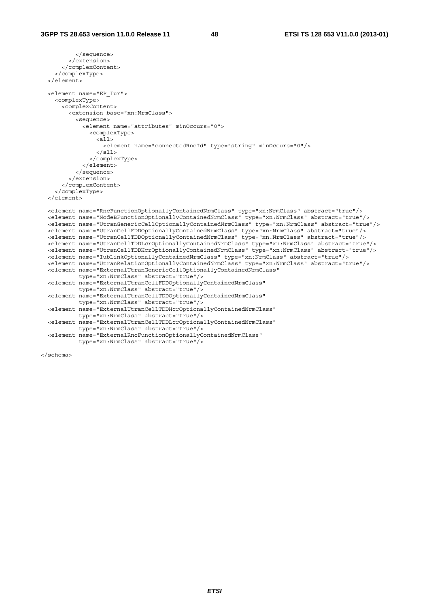```
 </sequence> 
         </extension> 
       </complexContent> 
     </complexType> 
  </element> 
  <element name="EP_Iur"> 
    <complexType> 
       <complexContent> 
         <extension base="xn:NrmClass"> 
           <sequence> 
             <element name="attributes" minOccurs="0"> 
               <complexType> 
                \overline{all} <element name="connectedRncId" type="string" minOccurs="0"/> 
                 </all> 
               </complexType> 
             </element> 
           </sequence> 
         </extension> 
       </complexContent> 
    </complexType> 
   </element> 
 <element name="RncFunctionOptionallyContainedNrmClass" type="xn:NrmClass" abstract="true"/> 
 <element name="NodeBFunctionOptionallyContainedNrmClass" type="xn:NrmClass" abstract="true"/> 
  <element name="UtranGenericCellOptionallyContainedNrmClass" type="xn:NrmClass" abstract="true"/> 
 <element name="UtranCellFDDOptionallyContainedNrmClass" type="xn:NrmClass" abstract="true"/> 
 <element name="UtranCellTDDOptionallyContainedNrmClass" type="xn:NrmClass" abstract="true"/> 
 <element name="UtranCellTDDLcrOptionallyContainedNrmClass" type="xn:NrmClass" abstract="true"/> 
 <element name="UtranCellTDDHcrOptionallyContainedNrmClass" type="xn:NrmClass" abstract="true"/> 
  <element name="IubLinkOptionallyContainedNrmClass" type="xn:NrmClass" abstract="true"/> 
  <element name="UtranRelationOptionallyContainedNrmClass" type="xn:NrmClass" abstract="true"/> 
  <element name="ExternalUtranGenericCellOptionallyContainedNrmClass" 
           type="xn:NrmClass" abstract="true"/> 
  <element name="ExternalUtranCellFDDOptionallyContainedNrmClass" 
           type="xn:NrmClass" abstract="true"/> 
  <element name="ExternalUtranCellTDDOptionallyContainedNrmClass" 
            type="xn:NrmClass" abstract="true"/> 
  <element name="ExternalUtranCellTDDHcrOptionallyContainedNrmClass" 
            type="xn:NrmClass" abstract="true"/> 
  <element name="ExternalUtranCellTDDLcrOptionallyContainedNrmClass" 
           type="xn:NrmClass" abstract="true"/> 
  <element name="ExternalRncFunctionOptionallyContainedNrmClass" 
            type="xn:NrmClass" abstract="true"/>
```
</schema>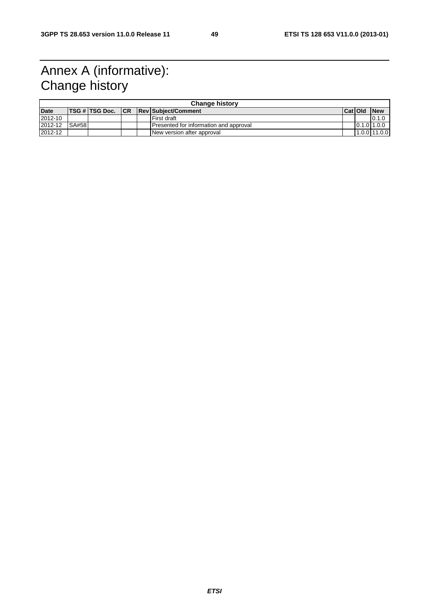# Annex A (informative): Change history

|             | <b>Change history</b> |                    |  |  |                                        |         |             |                |  |  |  |
|-------------|-----------------------|--------------------|--|--|----------------------------------------|---------|-------------|----------------|--|--|--|
| <b>Date</b> |                       | TSG # TSG Doc.  CR |  |  | <b>ReviSubiect/Comment</b>             | Cat Old |             | <b>New</b>     |  |  |  |
| 2012-10     |                       |                    |  |  | First draft                            |         |             | 0.1.0          |  |  |  |
| 2012-12     | SA#58                 |                    |  |  | Presented for information and approval |         | 0.1.011.0.0 |                |  |  |  |
| 2012-12     |                       |                    |  |  | New version after approval             |         |             | $1.0.0$ 11.0.0 |  |  |  |